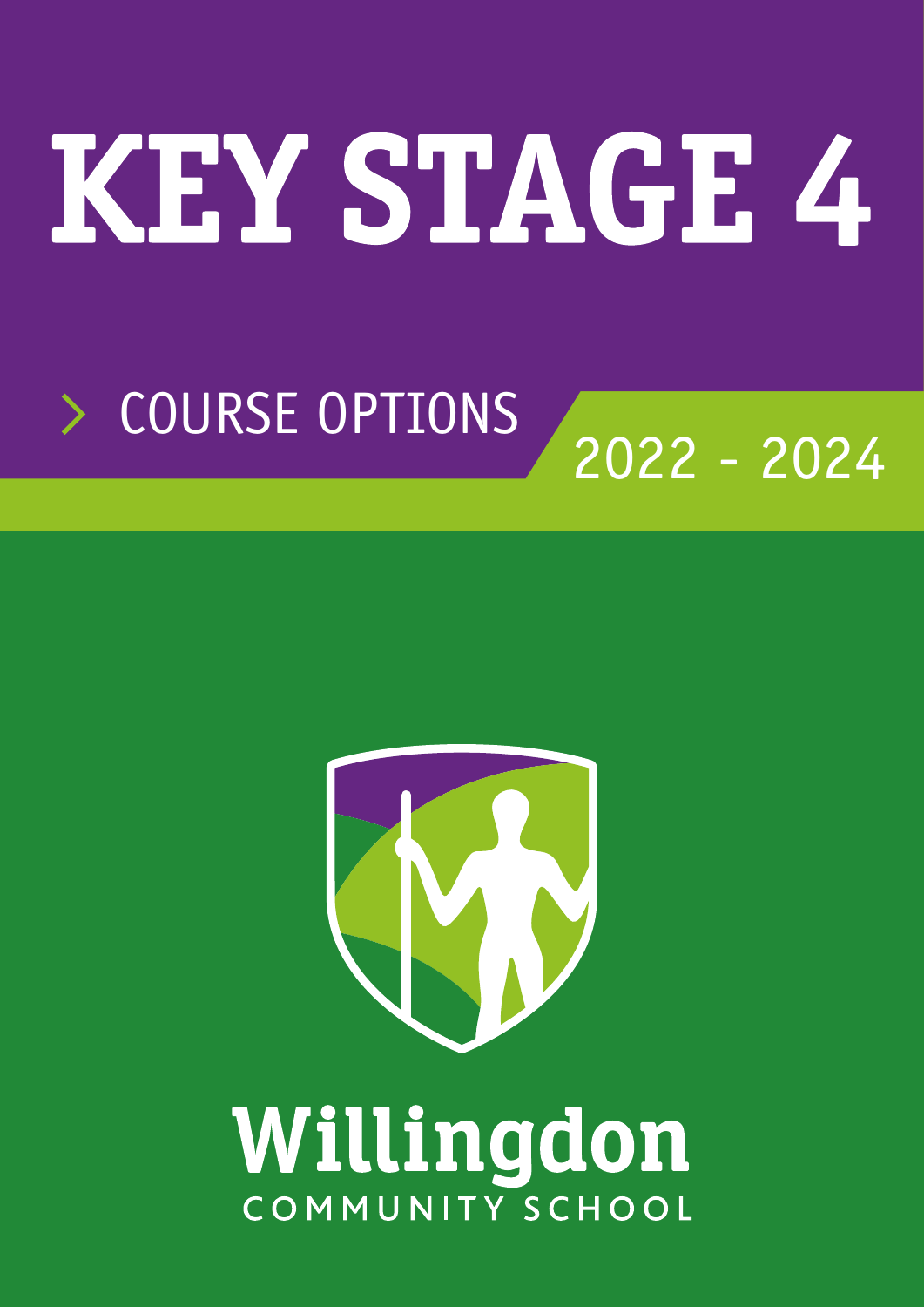# KEY STAGE 4

# COURSE OPTIONS 2022 - 2024



# Willingdon COMMUNITY SCHOOL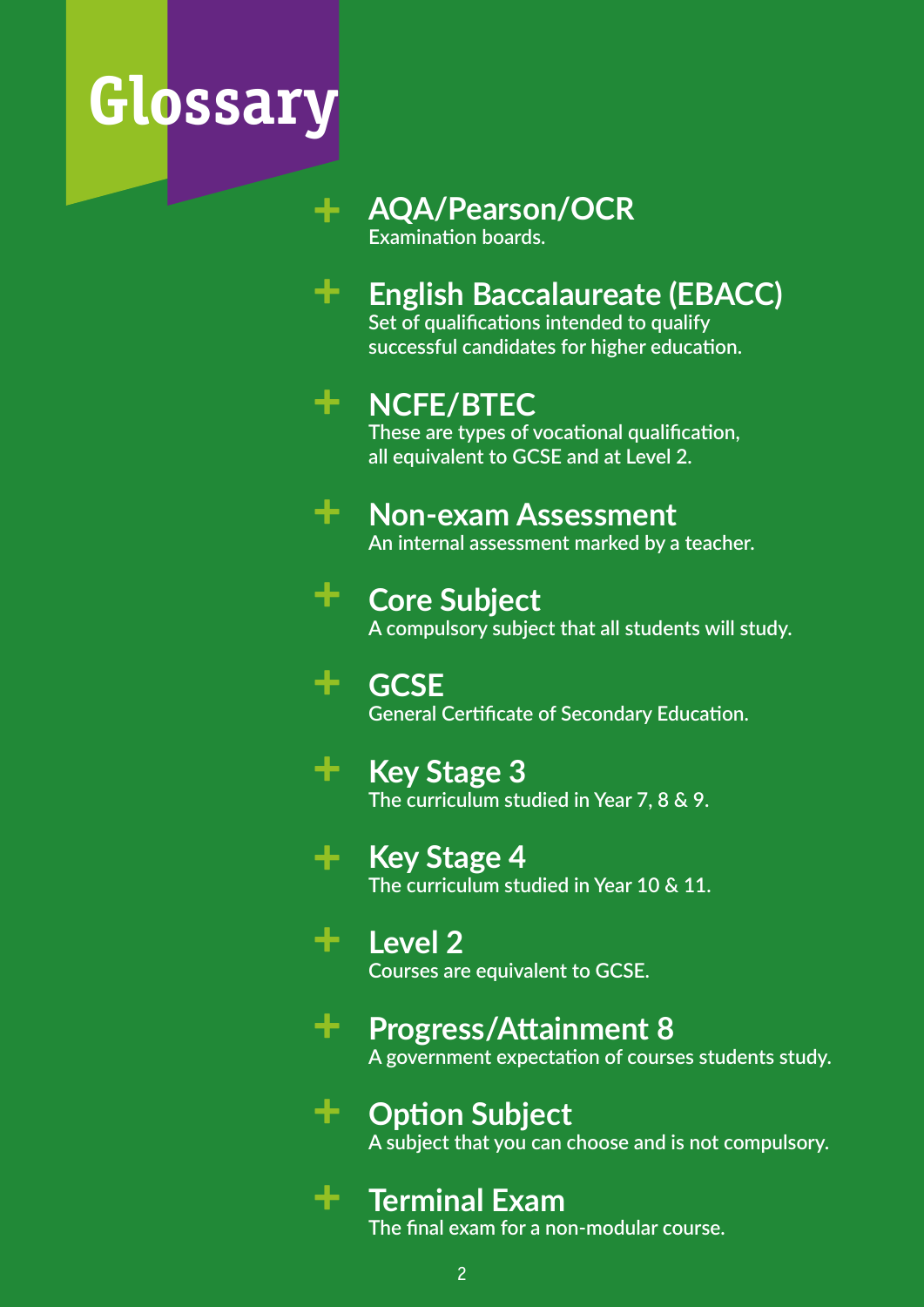# **Glossary**

**+**

**+**

**+**

## **AQA/Pearson/OCR**

**Examination boards.**

## **English Baccalaureate (EBACC) +**

**Set of qualifications intended to qualify successful candidates for higher education.**

## **NCFE/BTEC +**

**These are types of vocational qualification, all equivalent to GCSE and at Level 2.**

#### **Non-exam Assessment +**

**An internal assessment marked by a teacher.**

## **Core Subject +**

**A compulsory subject that all students will study.**

## **GCSE General Certificate of Secondary Education.**

**Key Stage 3 The curriculum studied in Year 7, 8 & 9. +**

## **Key Stage 4 +**

**The curriculum studied in Year 10 & 11.**

## **Level 2 +**

**Courses are equivalent to GCSE.**

## **Progress/Attainment 8 +**

**A government expectation of courses students study.**

## **Option Subject +**

**A subject that you can choose and is not compulsory.**

## **Terminal Exam**

**The final exam for a non-modular course.**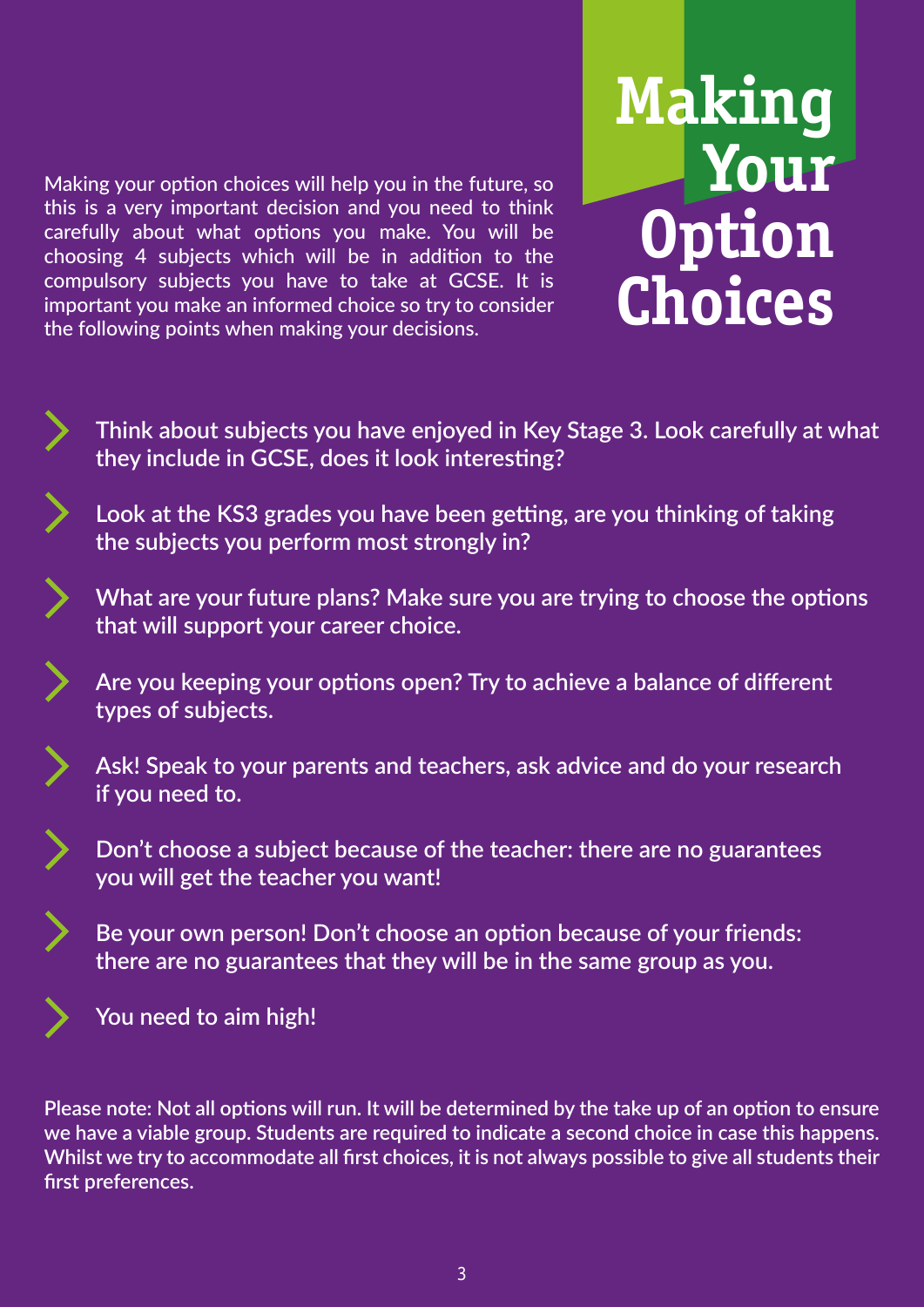Making your option choices will help you in the future, so this is a very important decision and you need to think carefully about what options you make. You will be choosing 4 subjects which will be in addition to the compulsory subjects you have to take at GCSE. It is important you make an informed choice so try to consider the following points when making your decisions.



- **Think about subjects you have enjoyed in Key Stage 3. Look carefully at what they include in GCSE, does it look interesting?**
- **Look at the KS3 grades you have been getting, are you thinking of taking the subjects you perform most strongly in?**
- **What are your future plans? Make sure you are trying to choose the options that will support your career choice.**
	- **Are you keeping your options open? Try to achieve a balance of different types of subjects.**
- 

**Ask! Speak to your parents and teachers, ask advice and do your research if you need to.**

- **Don't choose a subject because of the teacher: there are no guarantees you will get the teacher you want!**
- **Be your own person! Don't choose an option because of your friends: there are no guarantees that they will be in the same group as you.**



**You need to aim high!**

**Please note: Not all options will run. It will be determined by the take up of an option to ensure we have a viable group. Students are required to indicate a second choice in case this happens. Whilst we try to accommodate all first choices, it is not always possible to give all students their first preferences.**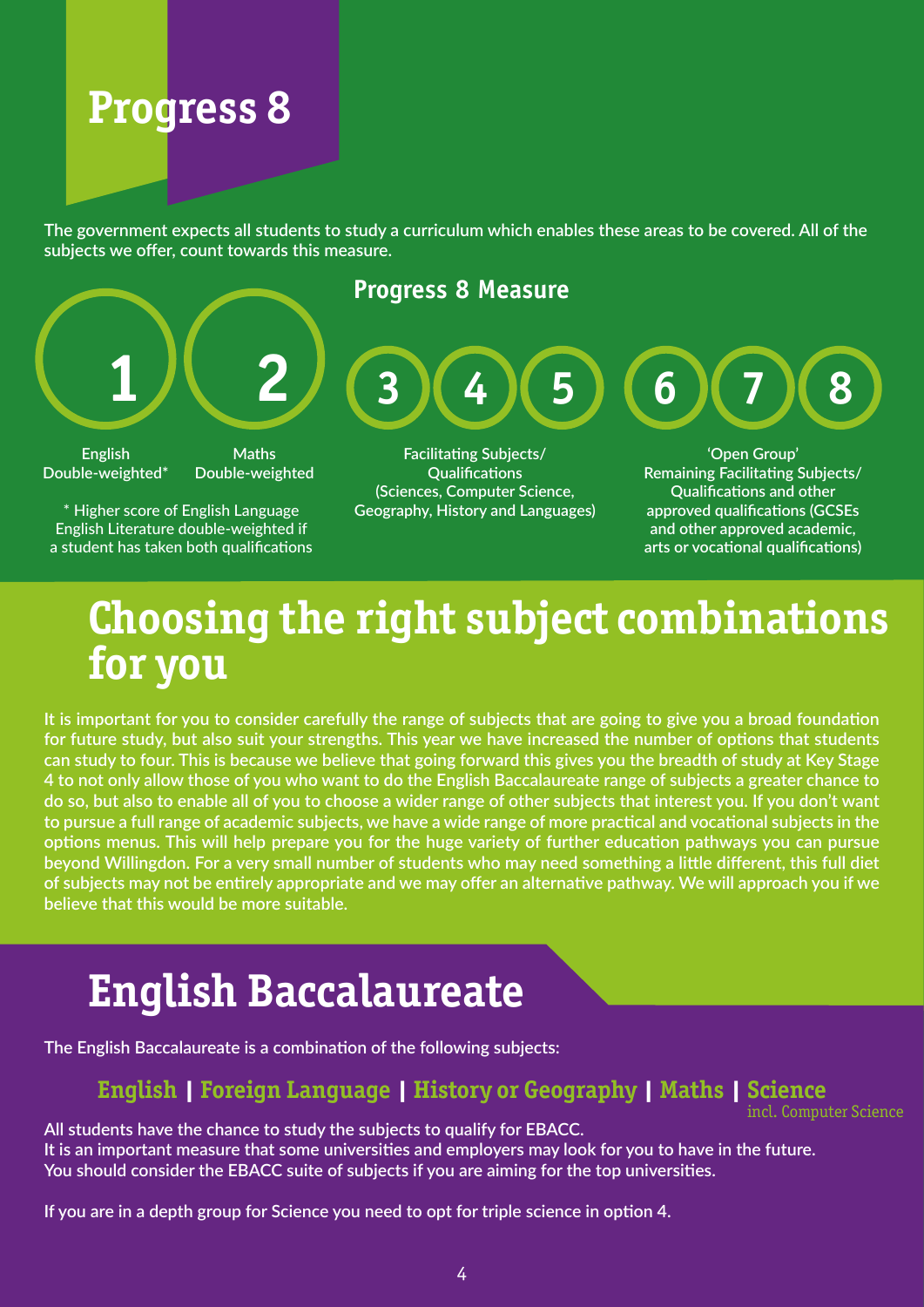# **Progress 8**

**The government expects all students to study a curriculum which enables these areas to be covered. All of the subjects we offer, count towards this measure.**



English Literature double-weighted if a student has taken both qualifications

**and other approved academic, arts or vocational qualifications)**

## **Choosing the right subject combinations for you**

**It is important for you to consider carefully the range of subjects that are going to give you a broad foundation for future study, but also suit your strengths. This year we have increased the number of options that students can study to four. This is because we believe that going forward this gives you the breadth of study at Key Stage 4 to not only allow those of you who want to do the English Baccalaureate range of subjects a greater chance to do so, but also to enable all of you to choose a wider range of other subjects that interest you. If you don't want to pursue a full range of academic subjects, we have a wide range of more practical and vocational subjects in the options menus. This will help prepare you for the huge variety of further education pathways you can pursue beyond Willingdon. For a very small number of students who may need something a little different, this full diet of subjects may not be entirely appropriate and we may offer an alternative pathway. We will approach you if we believe that this would be more suitable.**

## **English Baccalaureate**

**The English Baccalaureate is a combination of the following subjects:**

## **English | Foreign Language | History or Geography | Maths | Science**

incl. Computer Science

**All students have the chance to study the subjects to qualify for EBACC. It is an important measure that some universities and employers may look for you to have in the future. You should consider the EBACC suite of subjects if you are aiming for the top universities.** 

**If you are in a depth group for Science you need to opt for triple science in option 4.**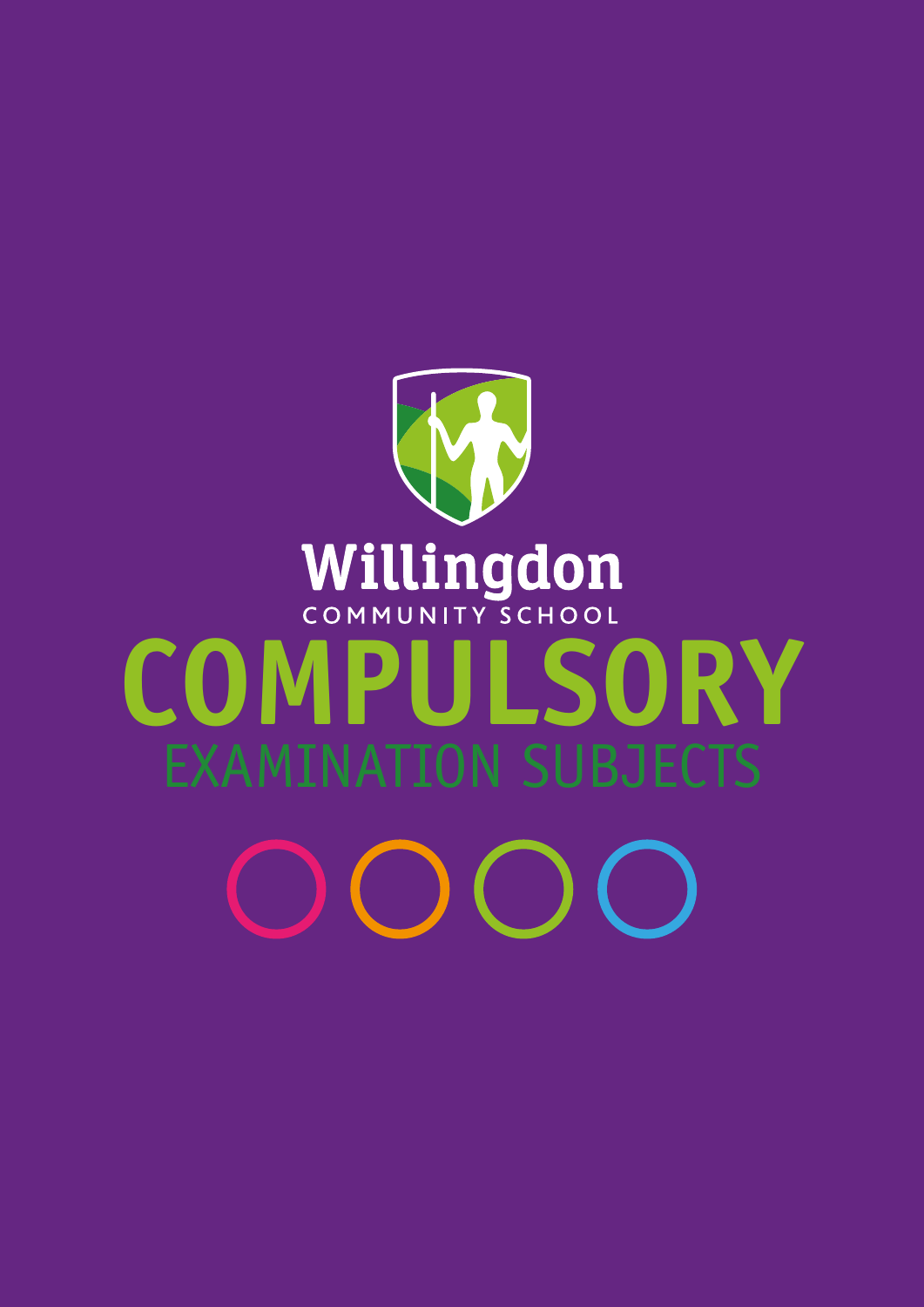# Willingdon<br>COMPULSORY EXAMINATION SUBJECTS  $\bigcirc$   $\bigcirc$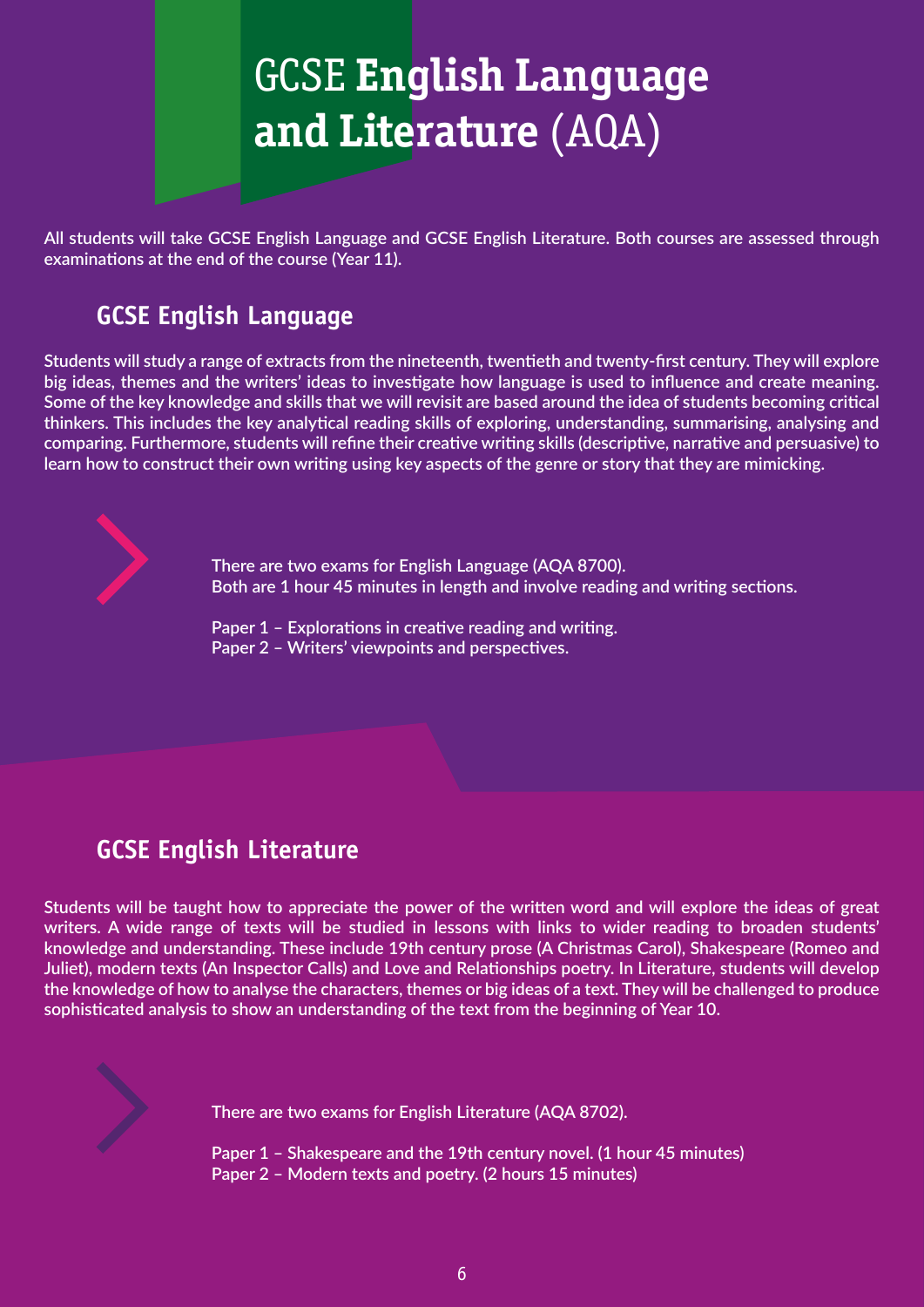

**All students will take GCSE English Language and GCSE English Literature. Both courses are assessed through examinations at the end of the course (Year 11).**

## **GCSE English Language**

**Students will study a range of extracts from the nineteenth, twentieth and twenty-first century. They will explore big ideas, themes and the writers' ideas to investigate how language is used to influence and create meaning. Some of the key knowledge and skills that we will revisit are based around the idea of students becoming critical thinkers. This includes the key analytical reading skills of exploring, understanding, summarising, analysing and comparing. Furthermore, students will refine their creative writing skills (descriptive, narrative and persuasive) to learn how to construct their own writing using key aspects of the genre or story that they are mimicking.**



 **There are two exams for English Language (AQA 8700). Both are 1 hour 45 minutes in length and involve reading and writing sections.**

 **Paper 1 – Explorations in creative reading and writing. Paper 2 – Writers' viewpoints and perspectives.**

## **GCSE English Literature**

**Students will be taught how to appreciate the power of the written word and will explore the ideas of great writers. A wide range of texts will be studied in lessons with links to wider reading to broaden students' knowledge and understanding. These include 19th century prose (A Christmas Carol), Shakespeare (Romeo and Juliet), modern texts (An Inspector Calls) and Love and Relationships poetry. In Literature, students will develop the knowledge of how to analyse the characters, themes or big ideas of a text. They will be challenged to produce sophisticated analysis to show an understanding of the text from the beginning of Year 10.**



 **There are two exams for English Literature (AQA 8702).** 

 **Paper 1 – Shakespeare and the 19th century novel. (1 hour 45 minutes) Paper 2 – Modern texts and poetry. (2 hours 15 minutes)**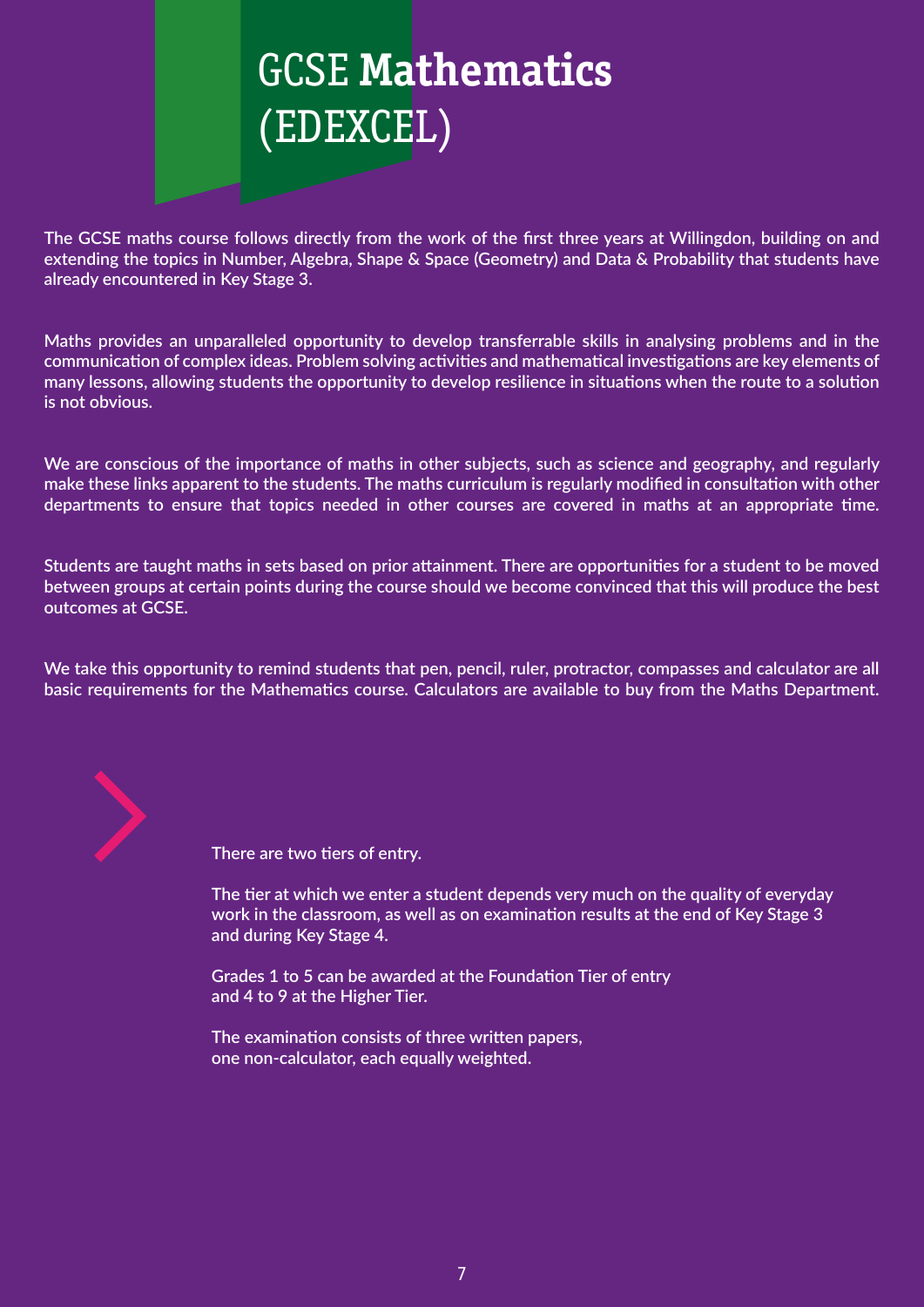

**The GCSE maths course follows directly from the work of the first three years at Willingdon, building on and extending the topics in Number, Algebra, Shape & Space (Geometry) and Data & Probability that students have already encountered in Key Stage 3.**

**Maths provides an unparalleled opportunity to develop transferrable skills in analysing problems and in the communication of complex ideas. Problem solving activities and mathematical investigations are key elements of many lessons, allowing students the opportunity to develop resilience in situations when the route to a solution is not obvious.**

**We are conscious of the importance of maths in other subjects, such as science and geography, and regularly make these links apparent to the students. The maths curriculum is regularly modified in consultation with other departments to ensure that topics needed in other courses are covered in maths at an appropriate time.**

**Students are taught maths in sets based on prior attainment. There are opportunities for a student to be moved between groups at certain points during the course should we become convinced that this will produce the best outcomes at GCSE.**

**We take this opportunity to remind students that pen, pencil, ruler, protractor, compasses and calculator are all basic requirements for the Mathematics course. Calculators are available to buy from the Maths Department.**



 **There are two tiers of entry.**

 **The tier at which we enter a student depends very much on the quality of everyday work in the classroom, as well as on examination results at the end of Key Stage 3 and during Key Stage 4.** 

 **Grades 1 to 5 can be awarded at the Foundation Tier of entry and 4 to 9 at the Higher Tier.**

 **The examination consists of three written papers, one non-calculator, each equally weighted.**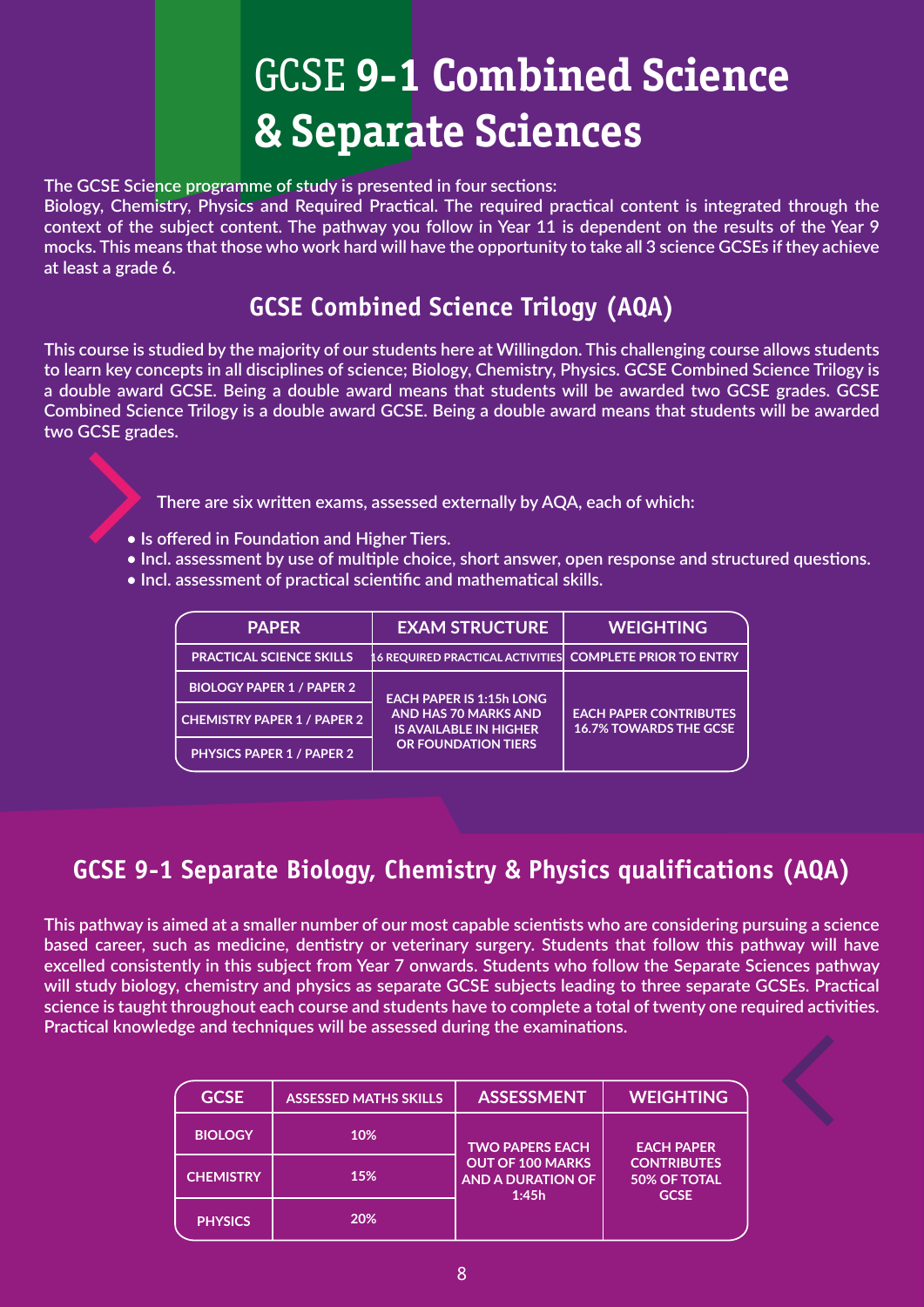# GCSE **9-1 Combined Science & Separate Sciences**

**The GCSE Science programme of study is presented in four sections:** 

**Biology, Chemistry, Physics and Required Practical. The required practical content is integrated through the context of the subject content. The pathway you follow in Year 11 is dependent on the results of the Year 9 mocks. This means that those who work hard will have the opportunity to take all 3 science GCSEs if they achieve at least a grade 6.**

## **GCSE Combined Science Trilogy (AQA)**

**This course is studied by the majority of our students here at Willingdon. This challenging course allows students to learn key concepts in all disciplines of science; Biology, Chemistry, Physics. GCSE Combined Science Trilogy is a double award GCSE. Being a double award means that students will be awarded two GCSE grades. GCSE Combined Science Trilogy is a double award GCSE. Being a double award means that students will be awarded two GCSE grades.** 

**There are six written exams, assessed externally by AQA, each of which:**

- **Is offered in Foundation and Higher Tiers.**
- **Incl. assessment by use of multiple choice, short answer, open response and structured questions.**
- **Incl. assessment of practical scientific and mathematical skills.**

| <b>PAPER</b>                       | <b>EXAM STRUCTURE</b>                                                                                                  | <b>WEIGHTING</b>                                               |
|------------------------------------|------------------------------------------------------------------------------------------------------------------------|----------------------------------------------------------------|
| <b>PRACTICAL SCIENCE SKILLS</b>    | L6 REQUIRED PRACTICAL ACTIVITIES                                                                                       | <b>COMPLETE PRIOR TO ENTRY</b>                                 |
| <b>BIOLOGY PAPER 1 / PAPER 2</b>   | <b>EACH PAPER IS 1:15h LONG</b><br><b>AND HAS 70 MARKS AND</b><br><b>IS AVAILABLE IN HIGHER</b><br>OR FOUNDATION TIERS | <b>EACH PAPER CONTRIBUTES</b><br><b>16.7% TOWARDS THE GCSE</b> |
| <b>CHEMISTRY PAPER 1 / PAPER 2</b> |                                                                                                                        |                                                                |
| <b>PHYSICS PAPER 1 / PAPER 2</b>   |                                                                                                                        |                                                                |

## **GCSE 9-1 Separate Biology, Chemistry & Physics qualifications (AQA)**

**This pathway is aimed at a smaller number of our most capable scientists who are considering pursuing a science based career, such as medicine, dentistry or veterinary surgery. Students that follow this pathway will have excelled consistently in this subject from Year 7 onwards. Students who follow the Separate Sciences pathway will study biology, chemistry and physics as separate GCSE subjects leading to three separate GCSEs. Practical science is taught throughout each course and students have to complete a total of twenty one required activities. Practical knowledge and techniques will be assessed during the examinations.**

| <b>GCSE</b>      | <b>ASSESSED MATHS SKILLS</b> | <b>ASSESSMENT</b>                                                                                                 | <b>WEIGHTING</b>  |
|------------------|------------------------------|-------------------------------------------------------------------------------------------------------------------|-------------------|
| <b>BIOLOGY</b>   | 10%                          | <b>TWO PAPERS EACH</b>                                                                                            | <b>EACH PAPER</b> |
| <b>CHEMISTRY</b> | 15%                          | OUT OF 100 MARKS<br><b>CONTRIBUTES</b><br><b>AND A DURATION OF</b><br><b>50% OF TOTAL</b><br>1:45h<br><b>GCSE</b> |                   |
| <b>PHYSICS</b>   | 20%                          |                                                                                                                   |                   |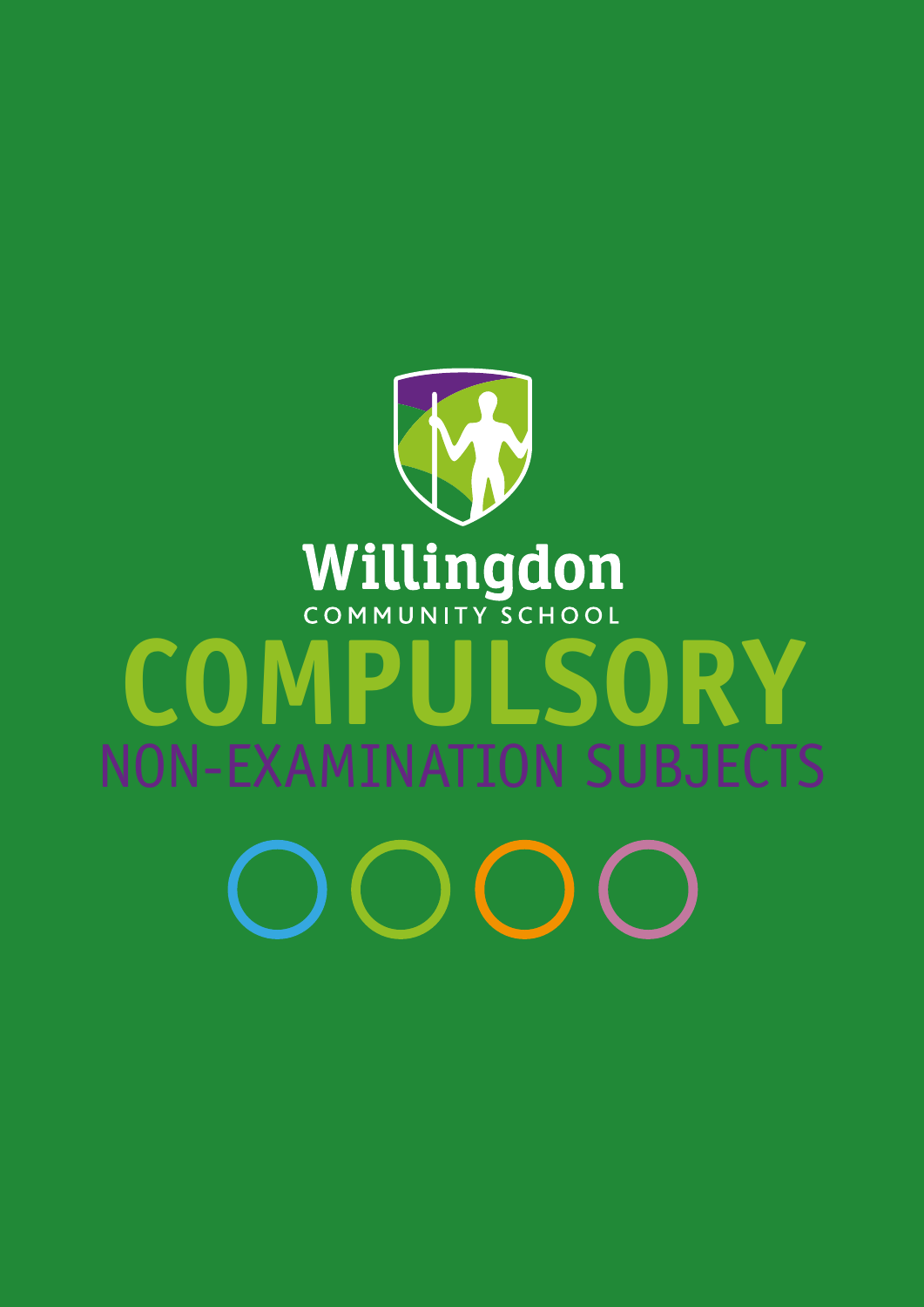# Willingdon<br>COMPULSORY NON-EXAMINATION SUBJECTS  $OOC$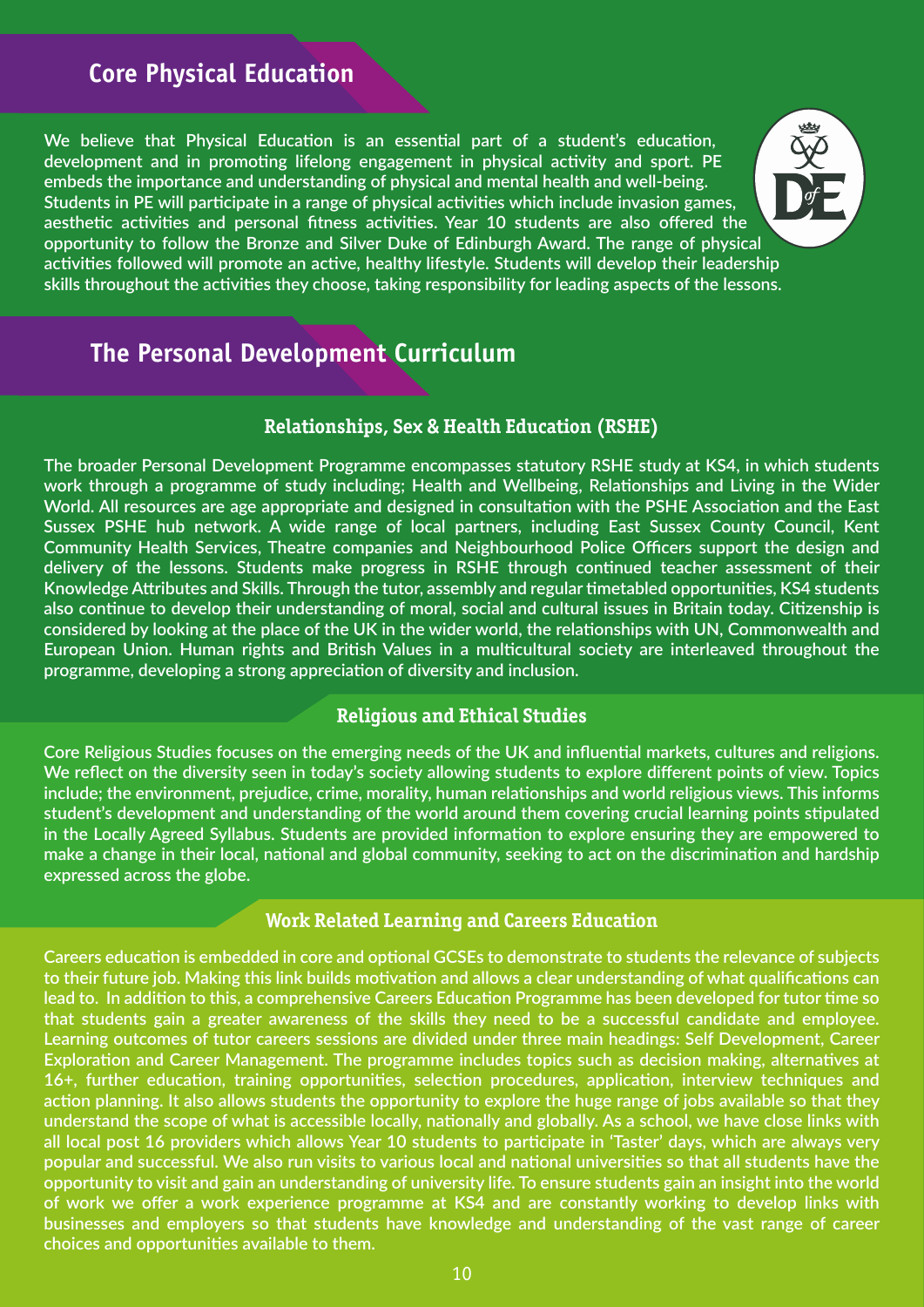## **Core Physical Education**

**We believe that Physical Education is an essential part of a student's education, development and in promoting lifelong engagement in physical activity and sport. PE embeds the importance and understanding of physical and mental health and well-being. Students in PE will participate in a range of physical activities which include invasion games, aesthetic activities and personal fitness activities. Year 10 students are also offered the opportunity to follow the Bronze and Silver Duke of Edinburgh Award. The range of physical activities followed will promote an active, healthy lifestyle. Students will develop their leadership skills throughout the activities they choose, taking responsibility for leading aspects of the lessons.**



## **The Personal Development Curriculum**

## **Relationships, Sex & Health Education (RSHE)**

**The broader Personal Development Programme encompasses statutory RSHE study at KS4, in which students work through a programme of study including; Health and Wellbeing, Relationships and Living in the Wider World. All resources are age appropriate and designed in consultation with the PSHE Association and the East Sussex PSHE hub network. A wide range of local partners, including East Sussex County Council, Kent Community Health Services, Theatre companies and Neighbourhood Police Officers support the design and delivery of the lessons. Students make progress in RSHE through continued teacher assessment of their Knowledge Attributes and Skills. Through the tutor, assembly and regular timetabled opportunities, KS4 students also continue to develop their understanding of moral, social and cultural issues in Britain today. Citizenship is considered by looking at the place of the UK in the wider world, the relationships with UN, Commonwealth and European Union. Human rights and British Values in a multicultural society are interleaved throughout the programme, developing a strong appreciation of diversity and inclusion.**

## **Religious and Ethical Studies**

**Core Religious Studies focuses on the emerging needs of the UK and influential markets, cultures and religions. We reflect on the diversity seen in today's society allowing students to explore different points of view. Topics include; the environment, prejudice, crime, morality, human relationships and world religious views. This informs student's development and understanding of the world around them covering crucial learning points stipulated in the Locally Agreed Syllabus. Students are provided information to explore ensuring they are empowered to make a change in their local, national and global community, seeking to act on the discrimination and hardship expressed across the globe.** 

## **Work Related Learning and Careers Education**

**Careers education is embedded in core and optional GCSEs to demonstrate to students the relevance of subjects to their future job. Making this link builds motivation and allows a clear understanding of what qualifications can lead to. In addition to this, a comprehensive Careers Education Programme has been developed for tutor time so that students gain a greater awareness of the skills they need to be a successful candidate and employee. Learning outcomes of tutor careers sessions are divided under three main headings: Self Development, Career Exploration and Career Management. The programme includes topics such as decision making, alternatives at 16+, further education, training opportunities, selection procedures, application, interview techniques and action planning. It also allows students the opportunity to explore the huge range of jobs available so that they understand the scope of what is accessible locally, nationally and globally. As a school, we have close links with all local post 16 providers which allows Year 10 students to participate in 'Taster' days, which are always very popular and successful. We also run visits to various local and national universities so that all students have the opportunity to visit and gain an understanding of university life. To ensure students gain an insight into the world of work we offer a work experience programme at KS4 and are constantly working to develop links with businesses and employers so that students have knowledge and understanding of the vast range of career choices and opportunities available to them.**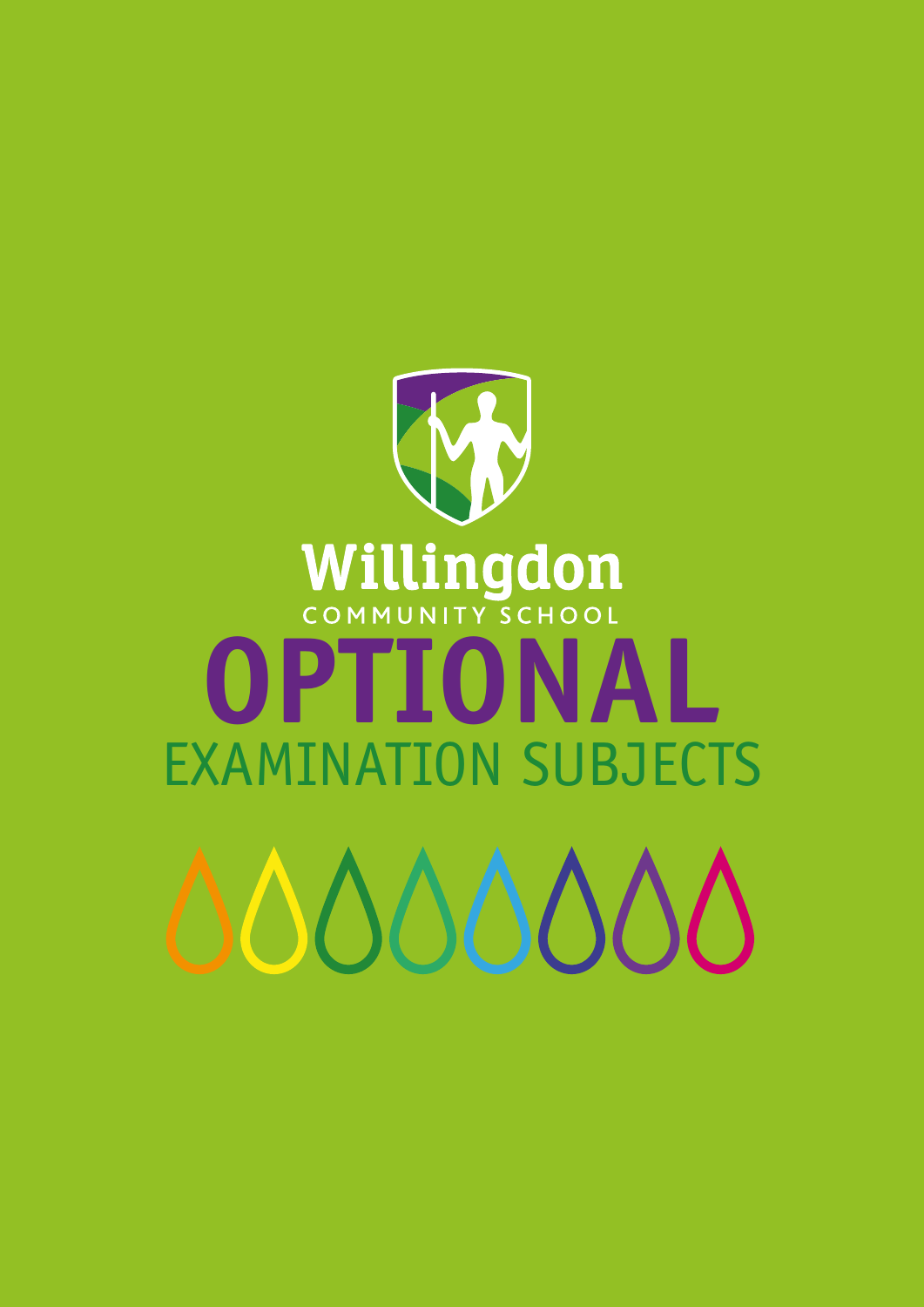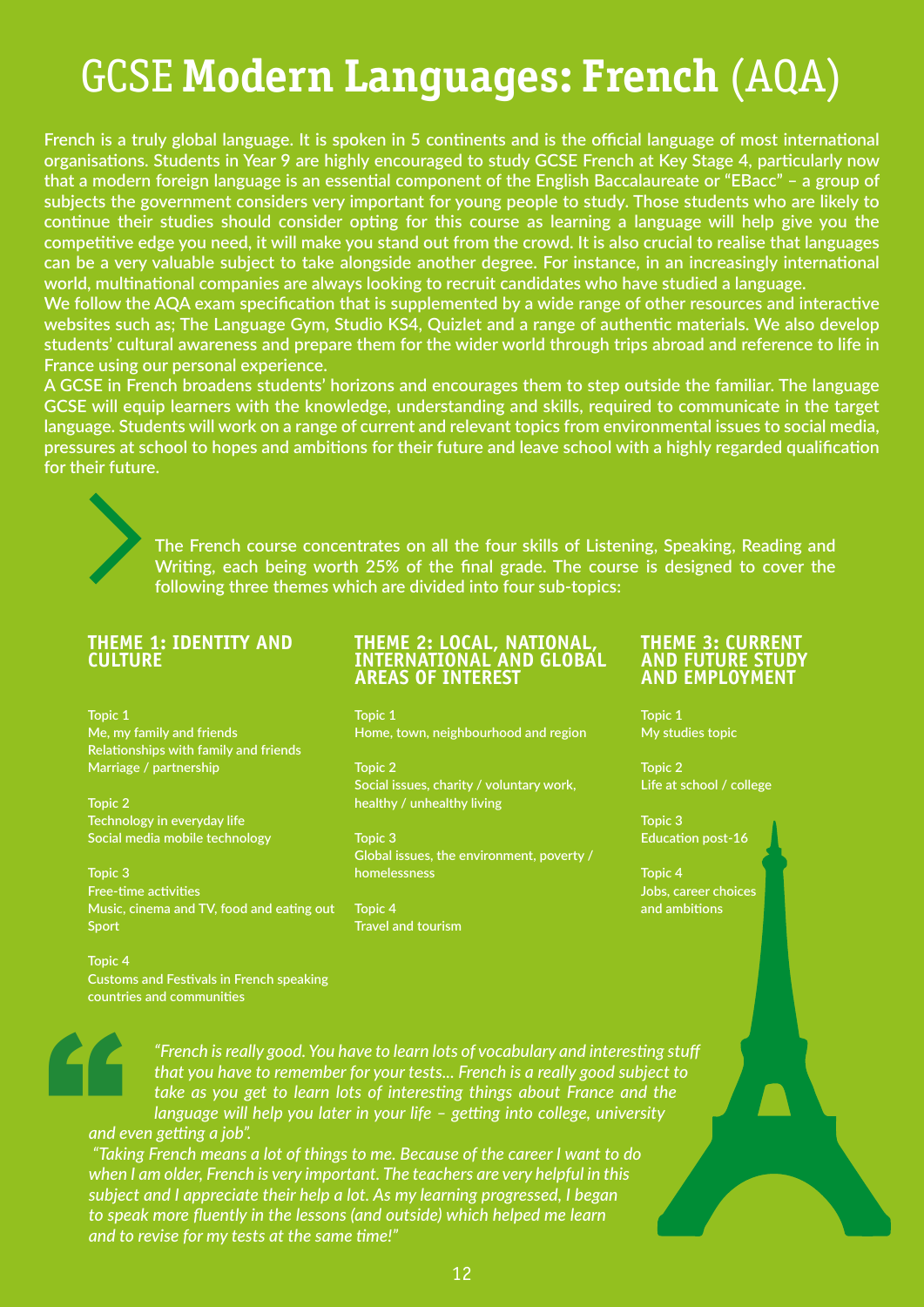# GCSE **Modern Languages: French** (AQA)

**French is a truly global language. It is spoken in 5 continents and is the official language of most international organisations. Students in Year 9 are highly encouraged to study GCSE French at Key Stage 4, particularly now that a modern foreign language is an essential component of the English Baccalaureate or "EBacc" – a group of subjects the government considers very important for young people to study. Those students who are likely to continue their studies should consider opting for this course as learning a language will help give you the competitive edge you need, it will make you stand out from the crowd. It is also crucial to realise that languages can be a very valuable subject to take alongside another degree. For instance, in an increasingly international world, multinational companies are always looking to recruit candidates who have studied a language.**

**We follow the AQA exam specification that is supplemented by a wide range of other resources and interactive websites such as; The Language Gym, Studio KS4, Quizlet and a range of authentic materials. We also develop students' cultural awareness and prepare them for the wider world through trips abroad and reference to life in France using our personal experience.**

**A GCSE in French broadens students' horizons and encourages them to step outside the familiar. The language GCSE will equip learners with the knowledge, understanding and skills, required to communicate in the target language. Students will work on a range of current and relevant topics from environmental issues to social media, pressures at school to hopes and ambitions for their future and leave school with a highly regarded qualification for their future.**



**The French course concentrates on all the four skills of Listening, Speaking, Reading and Writing, each being worth 25% of the final grade. The course is designed to cover the following three themes which are divided into four sub-topics:**

### **THEME 1: IDENTITY AND CULTURE**

**Topic 1 Me, my family and friends Relationships with family and friends Marriage / partnership** 

**Topic 2 Technology in everyday life Social media mobile technology** 

**Topic 3 Free-time activities Music, cinema and TV, food and eating out Sport** 

**Topic 4 Customs and Festivals in French speaking countries and communities**

#### **THEME 2: LOCAL, NATIONAL, INTERNATIONAL AND GLOBAL AREAS OF INTEREST**

**Topic 1 Home, town, neighbourhood and region** 

**Topic 2 Social issues, charity / voluntary work, healthy / unhealthy living** 

**Topic 3 Global issues, the environment, poverty / homelessness** 

**Topic 4 Travel and tourism** 

#### **THEME 3: CURRENT AND FUTURE STUDY AND EMPLOYMENT**

**Topic 1 My studies topic** 

**Topic 2 Life at school / college** 

**Topic 3 Education post-16** 

**Topic 4 Jobs, career choices and ambitions**



*"French is really good. You have to learn lots of vocabulary and interesting stuff that you have to remember for your tests... French is a really good subject to take as you get to learn lots of interesting things about France and the language will help you later in your life – getting into college, university and even getting a job".*

 *"Taking French means a lot of things to me. Because of the career I want to do when I am older, French is very important. The teachers are very helpful in this subject and I appreciate their help a lot. As my learning progressed, I began to speak more fluently in the lessons (and outside) which helped me learn and to revise for my tests at the same time!"*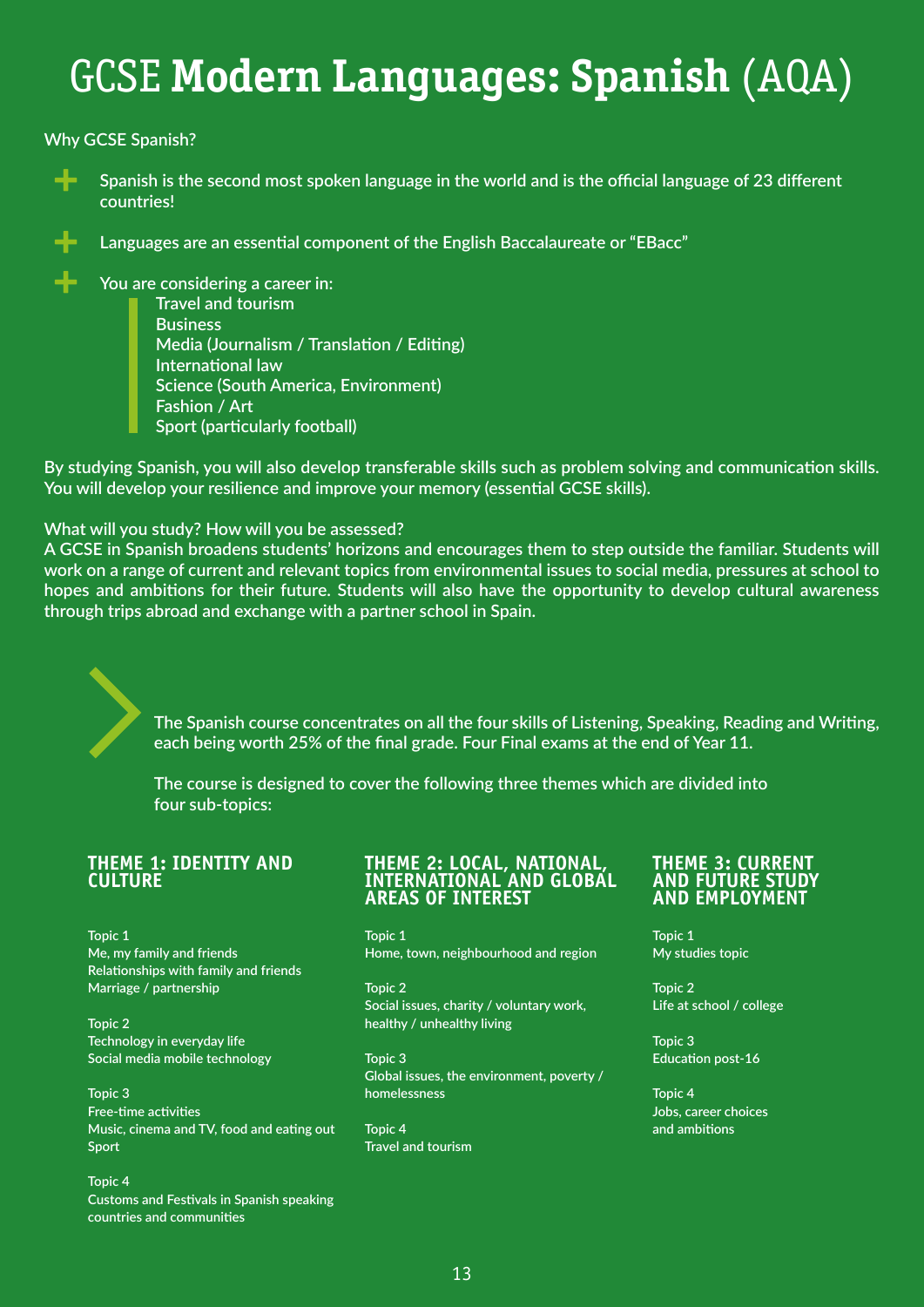# GCSE **Modern Languages: Spanish** (AQA)

**Why GCSE Spanish?**



 **Spanish is the second most spoken language in the world and is the official language of 23 different countries!** 



 **Languages are an essential component of the English Baccalaureate or "EBacc"** 

 **You are considering a career in: Travel and tourism Business Media (Journalism / Translation / Editing) International law Science (South America, Environment) Fashion / Art Sport (particularly football)**

**By studying Spanish, you will also develop transferable skills such as problem solving and communication skills. You will develop your resilience and improve your memory (essential GCSE skills).**

**What will you study? How will you be assessed?**

**A GCSE in Spanish broadens students' horizons and encourages them to step outside the familiar. Students will work on a range of current and relevant topics from environmental issues to social media, pressures at school to hopes and ambitions for their future. Students will also have the opportunity to develop cultural awareness through trips abroad and exchange with a partner school in Spain.**

> **The Spanish course concentrates on all the four skills of Listening, Speaking, Reading and Writing, each being worth 25% of the final grade. Four Final exams at the end of Year 11.**

**The course is designed to cover the following three themes which are divided into four sub-topics:**

## **THEME 1: IDENTITY AND CULTURE**

**Topic 1 Me, my family and friends Relationships with family and friends Marriage / partnership** 

**Topic 2 Technology in everyday life Social media mobile technology** 

**Topic 3 Free-time activities Music, cinema and TV, food and eating out Sport** 

**Topic 4 Customs and Festivals in Spanish speaking countries and communities**

### **THEME 2: LOCAL, NATIONAL, INTERNATIONAL AND GLOBAL AREAS OF INTEREST**

**Topic 1 Home, town, neighbourhood and region** 

**Topic 2 Social issues, charity / voluntary work, healthy / unhealthy living** 

**Topic 3 Global issues, the environment, poverty / homelessness** 

**Topic 4 Travel and tourism** 

### **THEME 3: CURRENT AND FUTURE STUDY AND EMPLOYMENT**

**Topic 1 My studies topic** 

**Topic 2 Life at school / college** 

**Topic 3 Education post-16** 

**Topic 4 Jobs, career choices and ambitions**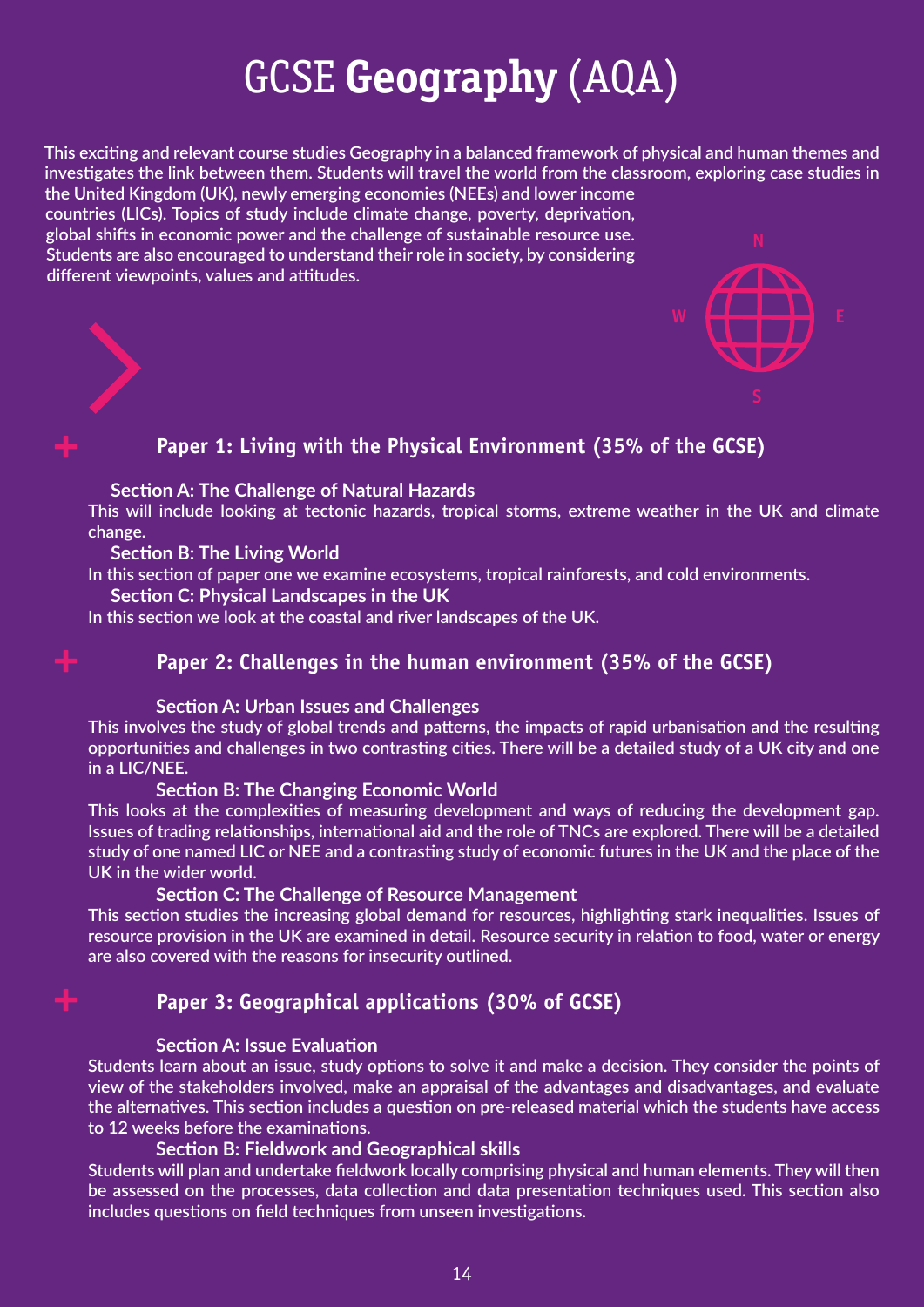# GCSE **Geography** (AQA)

**This exciting and relevant course studies Geography in a balanced framework of physical and human themes and investigates the link between them. Students will travel the world from the classroom, exploring case studies in the United Kingdom (UK), newly emerging economies (NEEs) and lower income** 

**countries (LICs). Topics of study include climate change, poverty, deprivation, global shifts in economic power and the challenge of sustainable resource use. Students are also encouraged to understand their role in society, by considering different viewpoints, values and attitudes.**



## **Paper 1: Living with the Physical Environment (35% of the GCSE)**

## **Section A: The Challenge of Natural Hazards**

**This will include looking at tectonic hazards, tropical storms, extreme weather in the UK and climate change.**

## **Section B: The Living World**

**In this section of paper one we examine ecosystems, tropical rainforests, and cold environments.**

 **Section C: Physical Landscapes in the UK**

**In this section we look at the coastal and river landscapes of the UK.**

## **Paper 2: Challenges in the human environment (35% of the GCSE)**

## **Section A: Urban Issues and Challenges**

**This involves the study of global trends and patterns, the impacts of rapid urbanisation and the resulting opportunities and challenges in two contrasting cities. There will be a detailed study of a UK city and one in a LIC/NEE.**

## **Section B: The Changing Economic World**

**This looks at the complexities of measuring development and ways of reducing the development gap. Issues of trading relationships, international aid and the role of TNCs are explored. There will be a detailed study of one named LIC or NEE and a contrasting study of economic futures in the UK and the place of the UK in the wider world.**

## **Section C: The Challenge of Resource Management**

**This section studies the increasing global demand for resources, highlighting stark inequalities. Issues of resource provision in the UK are examined in detail. Resource security in relation to food, water or energy are also covered with the reasons for insecurity outlined.**

## **Paper 3: Geographical applications (30% of GCSE)**

## **Section A: Issue Evaluation**

**Students learn about an issue, study options to solve it and make a decision. They consider the points of view of the stakeholders involved, make an appraisal of the advantages and disadvantages, and evaluate the alternatives. This section includes a question on pre-released material which the students have access to 12 weeks before the examinations.**

## **Section B: Fieldwork and Geographical skills**

**Students will plan and undertake fieldwork locally comprising physical and human elements. They will then be assessed on the processes, data collection and data presentation techniques used. This section also includes questions on field techniques from unseen investigations.**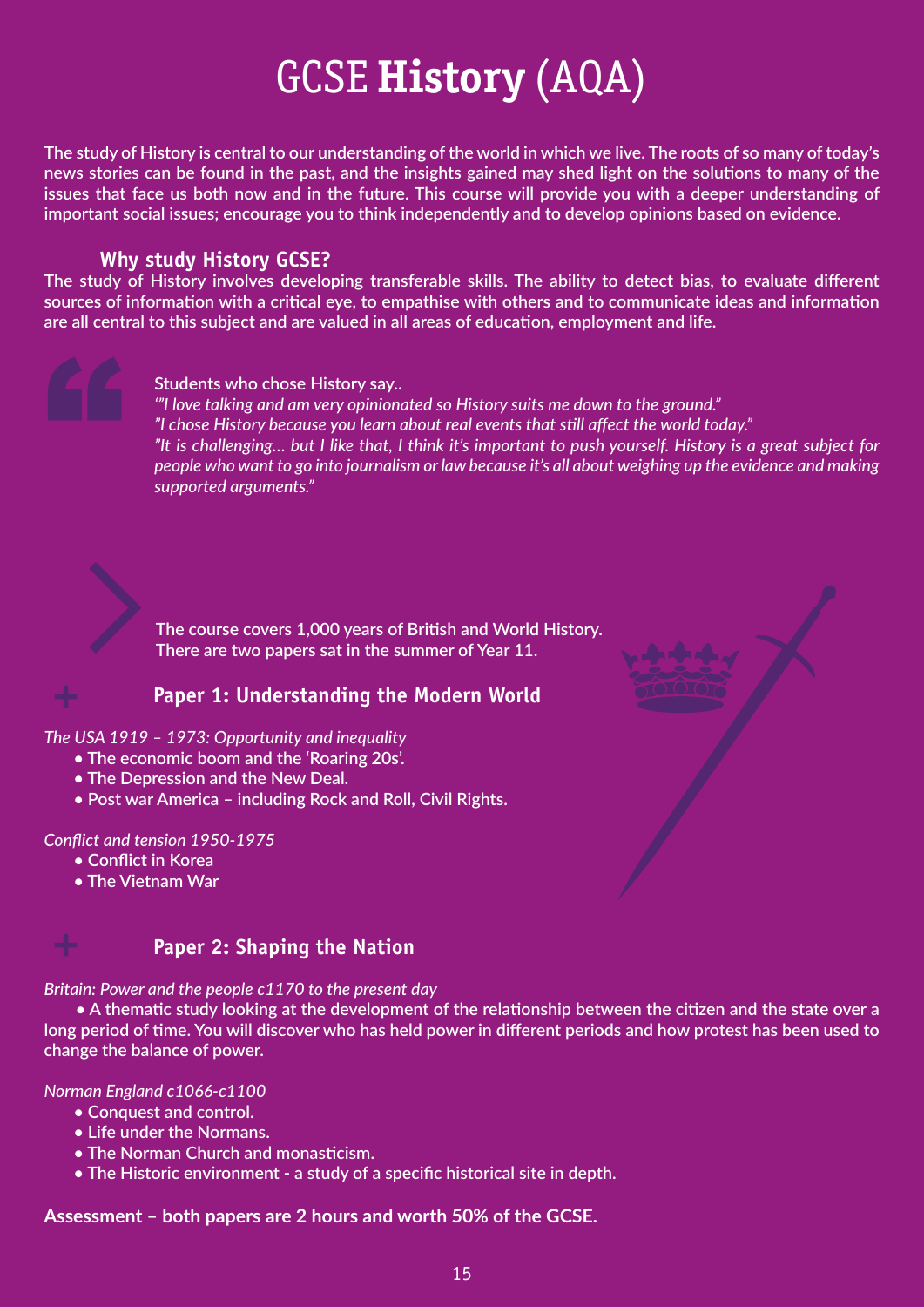# GCSE **History** (AQA)

**The study of History is central to our understanding of the world in which we live. The roots of so many of today's news stories can be found in the past, and the insights gained may shed light on the solutions to many of the issues that face us both now and in the future. This course will provide you with a deeper understanding of important social issues; encourage you to think independently and to develop opinions based on evidence.**

## **Why study History GCSE?**

**The study of History involves developing transferable skills. The ability to detect bias, to evaluate different sources of information with a critical eye, to empathise with others and to communicate ideas and information are all central to this subject and are valued in all areas of education, employment and life.**

## **Students who chose History say..**

*'"I love talking and am very opinionated so History suits me down to the ground." "I chose History because you learn about real events that still affect the world today." "It is challenging… but I like that, I think it's important to push yourself. History is a great subject for people who want to go into journalism or law because it's all about weighing up the evidence and making supported arguments."*



 **The course covers 1,000 years of British and World History. There are two papers sat in the summer of Year 11.**

## **Paper 1: Understanding the Modern World**

## *The USA 1919 – 1973: Opportunity and inequality*

- **The economic boom and the 'Roaring 20s'.**
- **The Depression and the New Deal.**
- **Post war America including Rock and Roll, Civil Rights.**

## *Conflict and tension 1950-1975*

- **Conflict in Korea**
- **The Vietnam War**



## **Paper 2: Shaping the Nation**

## *Britain: Power and the people c1170 to the present day*

 **• A thematic study looking at the development of the relationship between the citizen and the state over a long period of time. You will discover who has held power in different periods and how protest has been used to change the balance of power.** 

## *Norman England c1066-c1100*

- **Conquest and control.**
- **Life under the Normans.**
- **The Norman Church and monasticism.**
- **The Historic environment a study of a specific historical site in depth.**

## **Assessment – both papers are 2 hours and worth 50% of the GCSE.**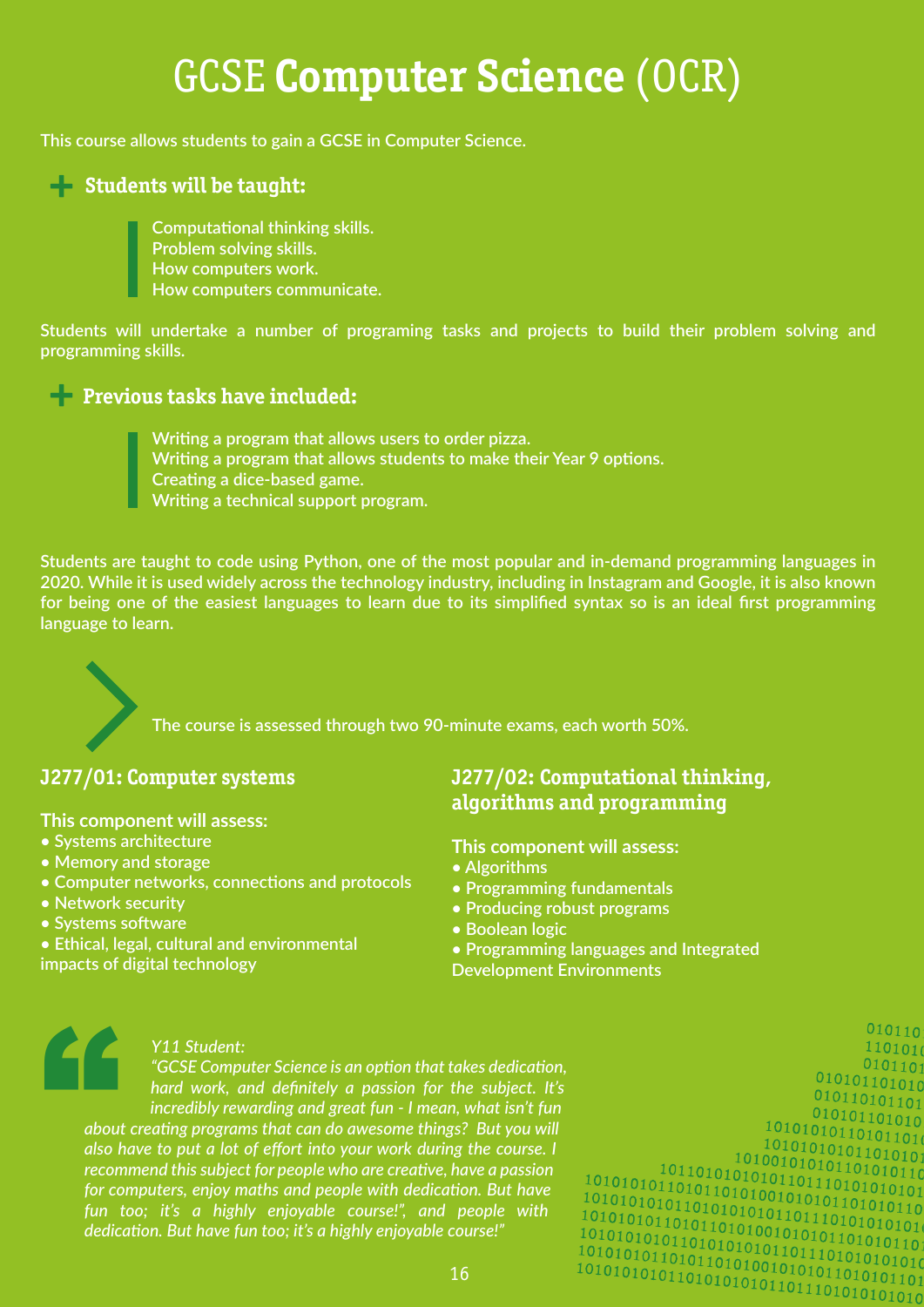# GCSE **Computer Science** (OCR)

**This course allows students to gain a GCSE in Computer Science.**

## **+ Students will be taught:**

 **Computational thinking skills. Problem solving skills. How computers work. How computers communicate.**

**Students will undertake a number of programing tasks and projects to build their problem solving and programming skills.**

## **+ Previous tasks have included:**

 **Writing a program that allows users to order pizza. Writing a program that allows students to make their Year 9 options. Creating a dice-based game. Writing a technical support program.**

**Students are taught to code using Python, one of the most popular and in-demand programming languages in 2020. While it is used widely across the technology industry, including in Instagram and Google, it is also known for being one of the easiest languages to learn due to its simplified syntax so is an ideal first programming language to learn.**

 **The course is assessed through two 90-minute exams, each worth 50%.**

## **J277/01: Computer systems**

**This component will assess:** 

- **Systems architecture**
- **Memory and storage**
- **Computer networks, connections and protocols**
- **Network security**
- **Systems software**
- **Ethical, legal, cultural and environmental impacts of digital technology**

## **J277/02: Computational thinking, algorithms and programming**

**This component will assess:** 

- **Algorithms**
- **Programming fundamentals**
- **Producing robust programs**
- **Boolean logic**
- **Programming languages and Integrated Development Environments**

## *Y11 Student:*

" *"GCSE Computer Science is an option that takes dedication, hard work, and definitely a passion for the subject. It's incredibly rewarding and great fun - I mean, what isn't fun about creating programs that can do awesome things? But you will also have to put a lot of effort into your work during the course. I recommend this subject for people who are creative, have a passion for computers, enjoy maths and people with dedication. But have fun too; it's a highly enjoyable course!", and people with dedication. But have fun too; it's a highly enjoyable course!"*

 $110101$  $010110$  $\frac{010101101}{01010101010}$  $010110101101$  $010101101010$  $\frac{10101010101011010101}{0100101010110101010110}$ 

 $010110$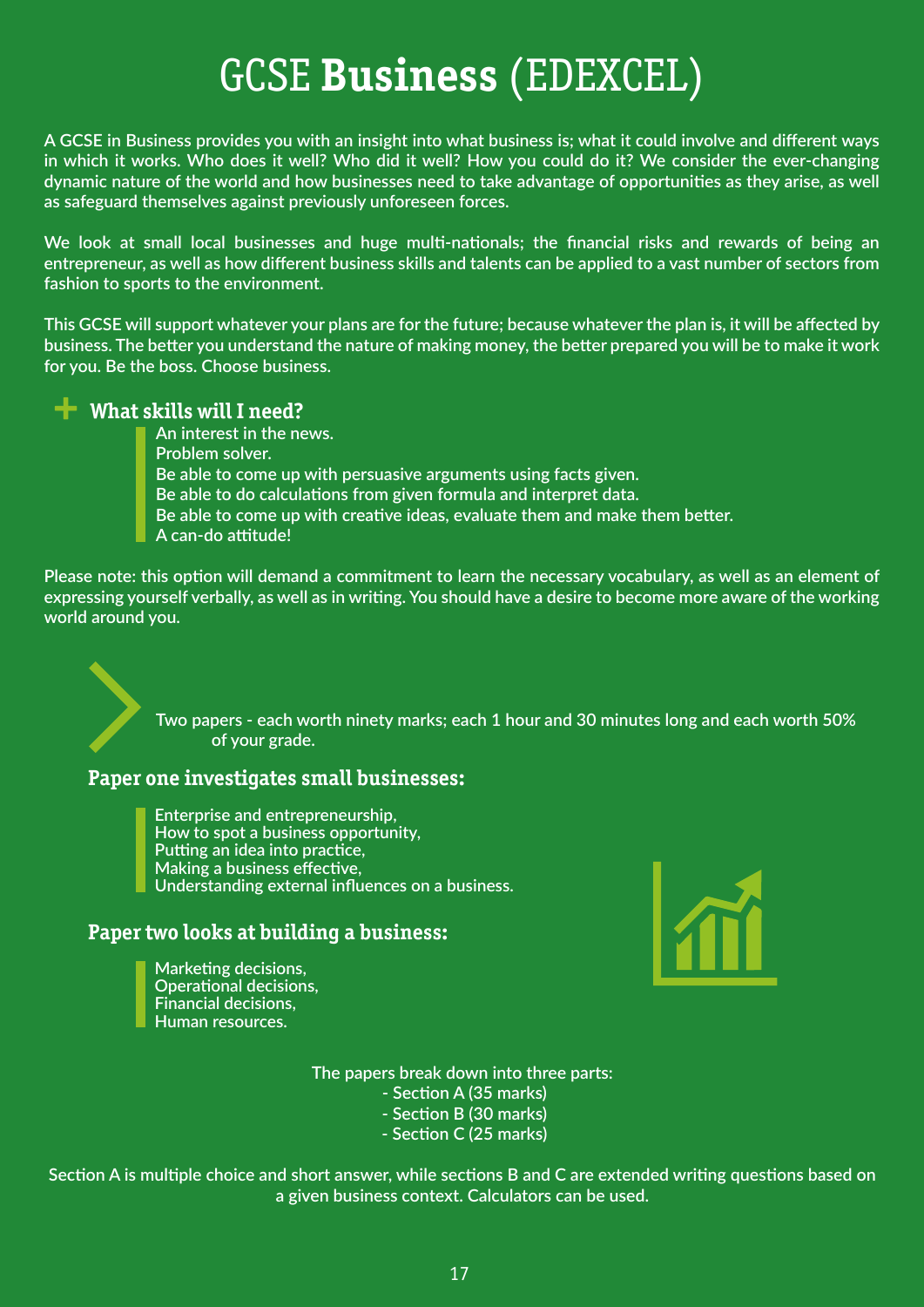# GCSE **Business** (EDEXCEL)

**A GCSE in Business provides you with an insight into what business is; what it could involve and different ways in which it works. Who does it well? Who did it well? How you could do it? We consider the ever-changing dynamic nature of the world and how businesses need to take advantage of opportunities as they arise, as well as safeguard themselves against previously unforeseen forces.**

**We look at small local businesses and huge multi-nationals; the financial risks and rewards of being an entrepreneur, as well as how different business skills and talents can be applied to a vast number of sectors from fashion to sports to the environment.**

**This GCSE will support whatever your plans are for the future; because whatever the plan is, it will be affected by business. The better you understand the nature of making money, the better prepared you will be to make it work for you. Be the boss. Choose business.**

## **+ What skills will I need?**

 **An interest in the news. Problem solver. Be able to come up with persuasive arguments using facts given. Be able to do calculations from given formula and interpret data. Be able to come up with creative ideas, evaluate them and make them better. A can-do attitude!**

**Please note: this option will demand a commitment to learn the necessary vocabulary, as well as an element of expressing yourself verbally, as well as in writing. You should have a desire to become more aware of the working world around you.**

> **Two papers - each worth ninety marks; each 1 hour and 30 minutes long and each worth 50% of your grade.**

## **Paper one investigates small businesses:**

 **Enterprise and entrepreneurship, How to spot a business opportunity, Putting an idea into practice, Making a business effective, Understanding external influences on a business.**

## **Paper two looks at building a business:**

 **Marketing decisions, Operational decisions, Financial decisions, Human resources.**

**The papers break down into three parts:** 

- **Section A (35 marks)**
- **Section B (30 marks)**
- **Section C (25 marks)**

**Section A is multiple choice and short answer, while sections B and C are extended writing questions based on a given business context. Calculators can be used.**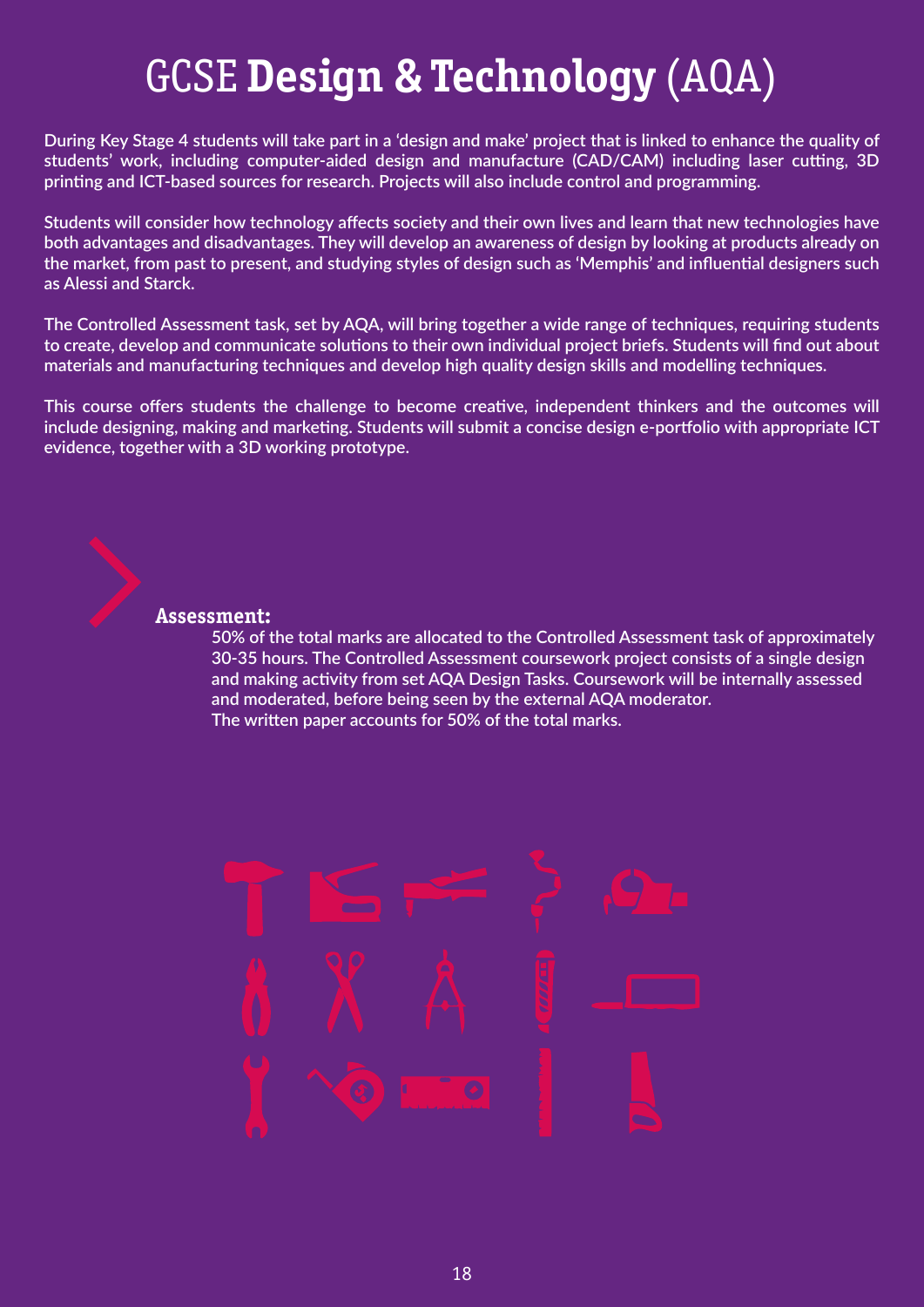# GCSE **Design & Technology** (AQA)

**During Key Stage 4 students will take part in a 'design and make' project that is linked to enhance the quality of students' work, including computer-aided design and manufacture (CAD/CAM) including laser cutting, 3D printing and ICT-based sources for research. Projects will also include control and programming.**

**Students will consider how technology affects society and their own lives and learn that new technologies have both advantages and disadvantages. They will develop an awareness of design by looking at products already on the market, from past to present, and studying styles of design such as 'Memphis' and influential designers such as Alessi and Starck.**

**The Controlled Assessment task, set by AQA, will bring together a wide range of techniques, requiring students to create, develop and communicate solutions to their own individual project briefs. Students will find out about materials and manufacturing techniques and develop high quality design skills and modelling techniques.**

**This course offers students the challenge to become creative, independent thinkers and the outcomes will include designing, making and marketing. Students will submit a concise design e-portfolio with appropriate ICT evidence, together with a 3D working prototype.**



## **Assessment:**

 **50% of the total marks are allocated to the Controlled Assessment task of approximately 30-35 hours. The Controlled Assessment coursework project consists of a single design and making activity from set AQA Design Tasks. Coursework will be internally assessed and moderated, before being seen by the external AQA moderator. The written paper accounts for 50% of the total marks.**

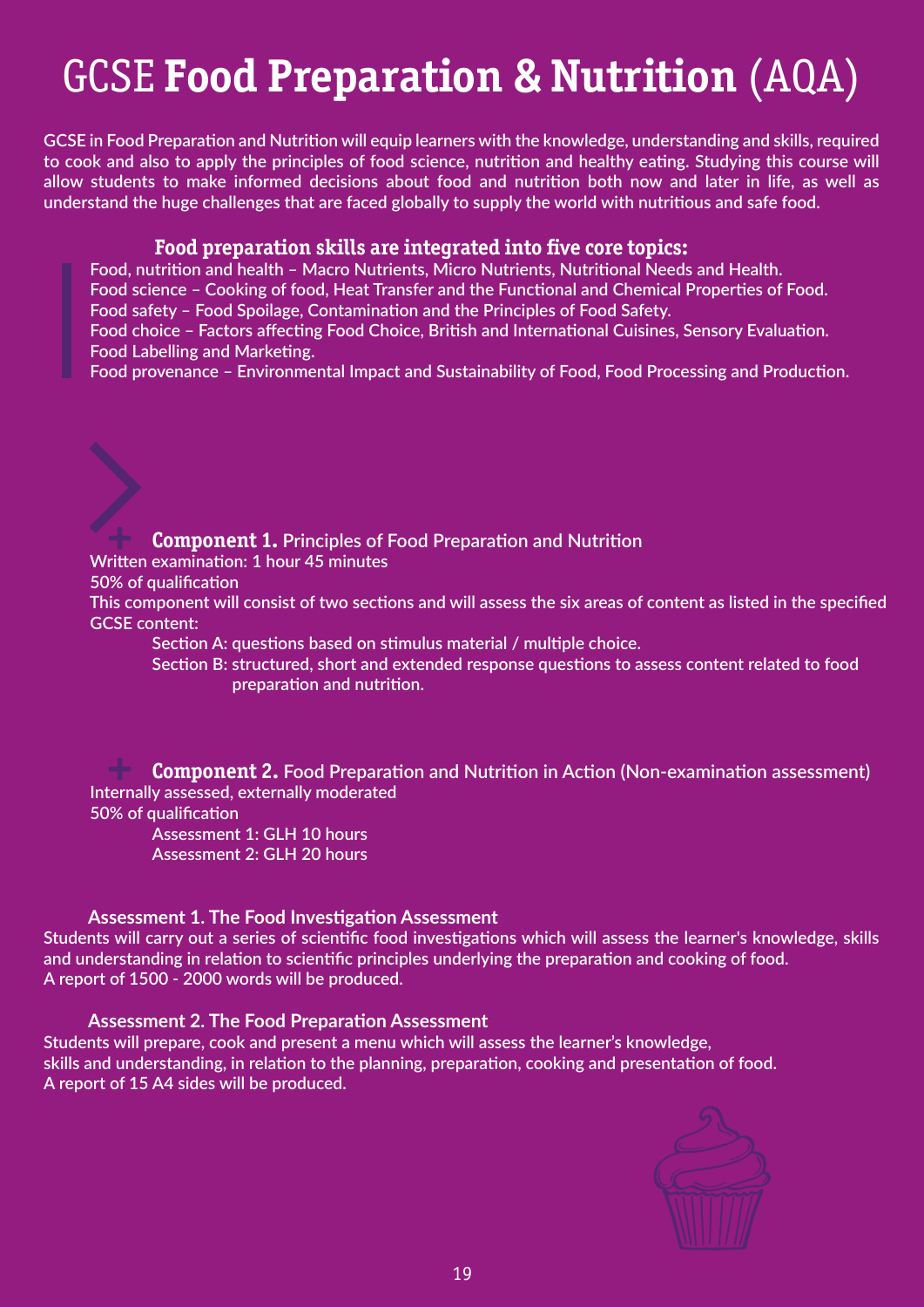# GCSE **Food Preparation & Nutrition** (AQA)

**GCSE in Food Preparation and Nutrition will equip learners with the knowledge, understanding and skills, required to cook and also to apply the principles of food science, nutrition and healthy eating. Studying this course will allow students to make informed decisions about food and nutrition both now and later in life, as well as understand the huge challenges that are faced globally to supply the world with nutritious and safe food.**

## **Food preparation skills are integrated into five core topics:**

 **Food, nutrition and health – Macro Nutrients, Micro Nutrients, Nutritional Needs and Health. Food science – Cooking of food, Heat Transfer and the Functional and Chemical Properties of Food.**

 **Food safety – Food Spoilage, Contamination and the Principles of Food Safety.**

 **Food choice – Factors affecting Food Choice, British and International Cuisines, Sensory Evaluation. Food Labelling and Marketing.**

 **Food provenance – Environmental Impact and Sustainability of Food, Food Processing and Production.**

## **+ Written examination: 1 hour 45 minutes Component 1. Principles of Food Preparation and Nutrition**

 **50% of qualification**

 **This component will consist of two sections and will assess the six areas of content as listed in the specified GCSE content:**

 **Section A: questions based on stimulus material / multiple choice.**

 **Section B: structured, short and extended response questions to assess content related to food preparation and nutrition.**

**+ Internally assessed, externally moderated Component 2. Food Preparation and Nutrition in Action (Non-examination assessment) 50% of qualification**

 **Assessment 1: GLH 10 hours Assessment 2: GLH 20 hours**

## **Assessment 1. The Food Investigation Assessment**

**Students will carry out a series of scientific food investigations which will assess the learner's knowledge, skills and understanding in relation to scientific principles underlying the preparation and cooking of food. A report of 1500 - 2000 words will be produced.**

## **Assessment 2. The Food Preparation Assessment**

**Students will prepare, cook and present a menu which will assess the learner's knowledge, skills and understanding, in relation to the planning, preparation, cooking and presentation of food. A report of 15 A4 sides will be produced.**

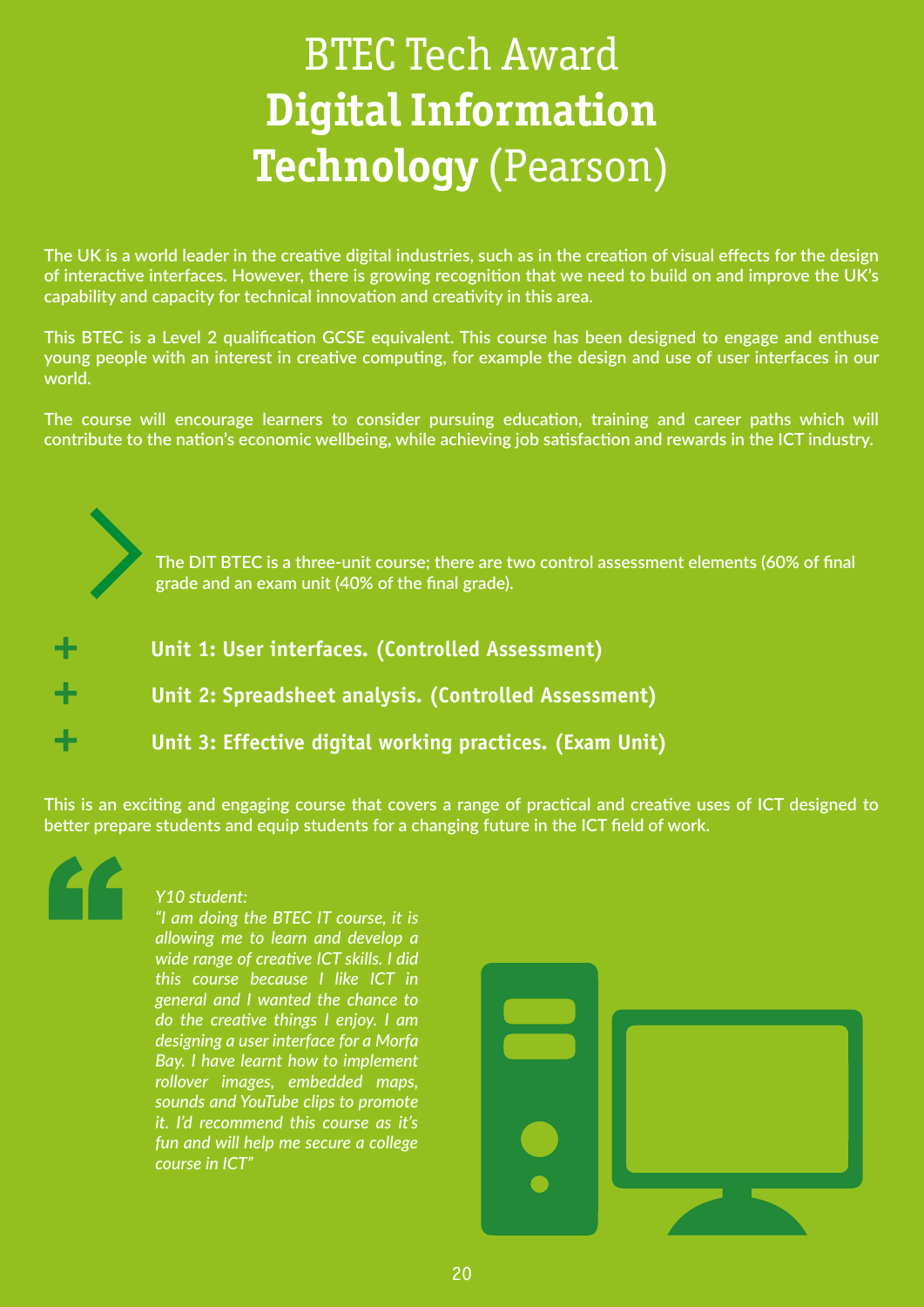# BTEC Tech Award **Digital Information Technology** (Pearson)

**The UK is a world leader in the creative digital industries, such as in the creation of visual effects for the design of interactive interfaces. However, there is growing recognition that we need to build on and improve the UK's capability and capacity for technical innovation and creativity in this area.**

**This BTEC is a Level 2 qualification GCSE equivalent. This course has been designed to engage and enthuse young people with an interest in creative computing, for example the design and use of user interfaces in our world.** 

**The course will encourage learners to consider pursuing education, training and career paths which will contribute to the nation's economic wellbeing, while achieving job satisfaction and rewards in the ICT industry.**

> **The DIT BTEC is a three-unit course; there are two control assessment elements (60% of final grade and an exam unit (40% of the final grade).**

| ÷ | Unit 1: User interfaces. (Controlled Assessment)         |
|---|----------------------------------------------------------|
| ÷ | Unit 2: Spreadsheet analysis. (Controlled Assessment)    |
| ÷ | Unit 3: Effective digital working practices. (Exam Unit) |

**This is an exciting and engaging course that covers a range of practical and creative uses of ICT designed to better prepare students and equip students for a changing future in the ICT field of work.**



## *Y10 student:*

*"I am doing the BTEC IT course, it is allowing me to learn and develop a wide range of creative ICT skills. I did this course because I like ICT in general and I wanted the chance to do the creative things I enjoy. I am designing a user interface for a Morfa Bay. I have learnt how to implement rollover images, embedded maps, sounds and YouTube clips to promote it. I'd recommend this course as it's fun and will help me secure a college course in ICT"*

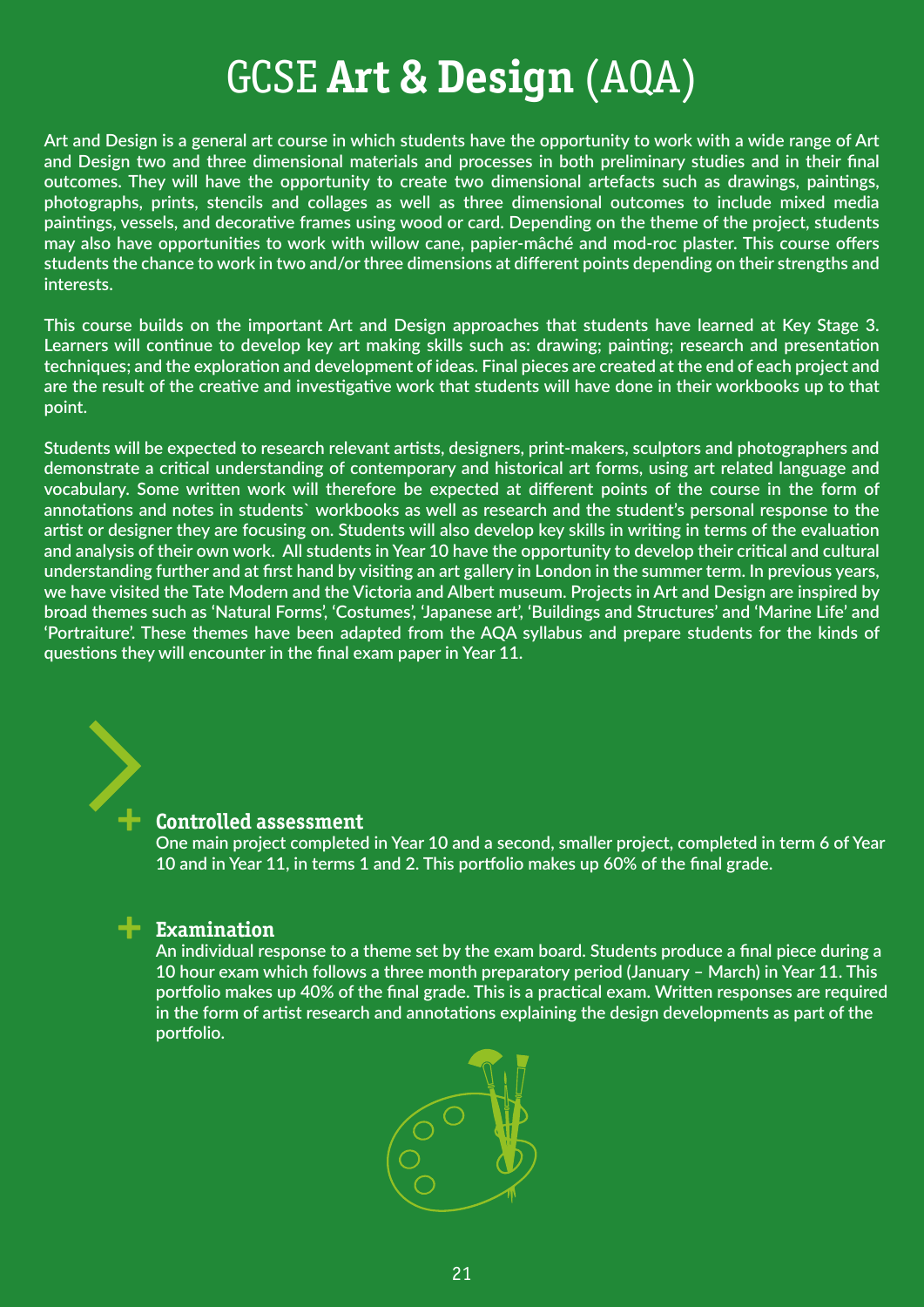# GCSE **Art & Design** (AQA)

**Art and Design is a general art course in which students have the opportunity to work with a wide range of Art and Design two and three dimensional materials and processes in both preliminary studies and in their final outcomes. They will have the opportunity to create two dimensional artefacts such as drawings, paintings, photographs, prints, stencils and collages as well as three dimensional outcomes to include mixed media paintings, vessels, and decorative frames using wood or card. Depending on the theme of the project, students may also have opportunities to work with willow cane, papier-mâché and mod-roc plaster. This course offers students the chance to work in two and/or three dimensions at different points depending on their strengths and interests.**

**This course builds on the important Art and Design approaches that students have learned at Key Stage 3. Learners will continue to develop key art making skills such as: drawing; painting; research and presentation techniques; and the exploration and development of ideas. Final pieces are created at the end of each project and are the result of the creative and investigative work that students will have done in their workbooks up to that point.** 

**Students will be expected to research relevant artists, designers, print-makers, sculptors and photographers and demonstrate a critical understanding of contemporary and historical art forms, using art related language and vocabulary. Some written work will therefore be expected at different points of the course in the form of annotations and notes in students` workbooks as well as research and the student's personal response to the artist or designer they are focusing on. Students will also develop key skills in writing in terms of the evaluation and analysis of their own work. All students in Year 10 have the opportunity to develop their critical and cultural understanding further and at first hand by visiting an art gallery in London in the summer term. In previous years, we have visited the Tate Modern and the Victoria and Albert museum. Projects in Art and Design are inspired by broad themes such as 'Natural Forms', 'Costumes', 'Japanese art', 'Buildings and Structures' and 'Marine Life' and 'Portraiture'. These themes have been adapted from the AQA syllabus and prepare students for the kinds of questions they will encounter in the final exam paper in Year 11.**

## **+ Controlled assessment**

 **One main project completed in Year 10 and a second, smaller project, completed in term 6 of Year 10 and in Year 11, in terms 1 and 2. This portfolio makes up 60% of the final grade.**

## **+ Examination**

 **An individual response to a theme set by the exam board. Students produce a final piece during a 10 hour exam which follows a three month preparatory period (January – March) in Year 11. This portfolio makes up 40% of the final grade. This is a practical exam. Written responses are required in the form of artist research and annotations explaining the design developments as part of the portfolio.**

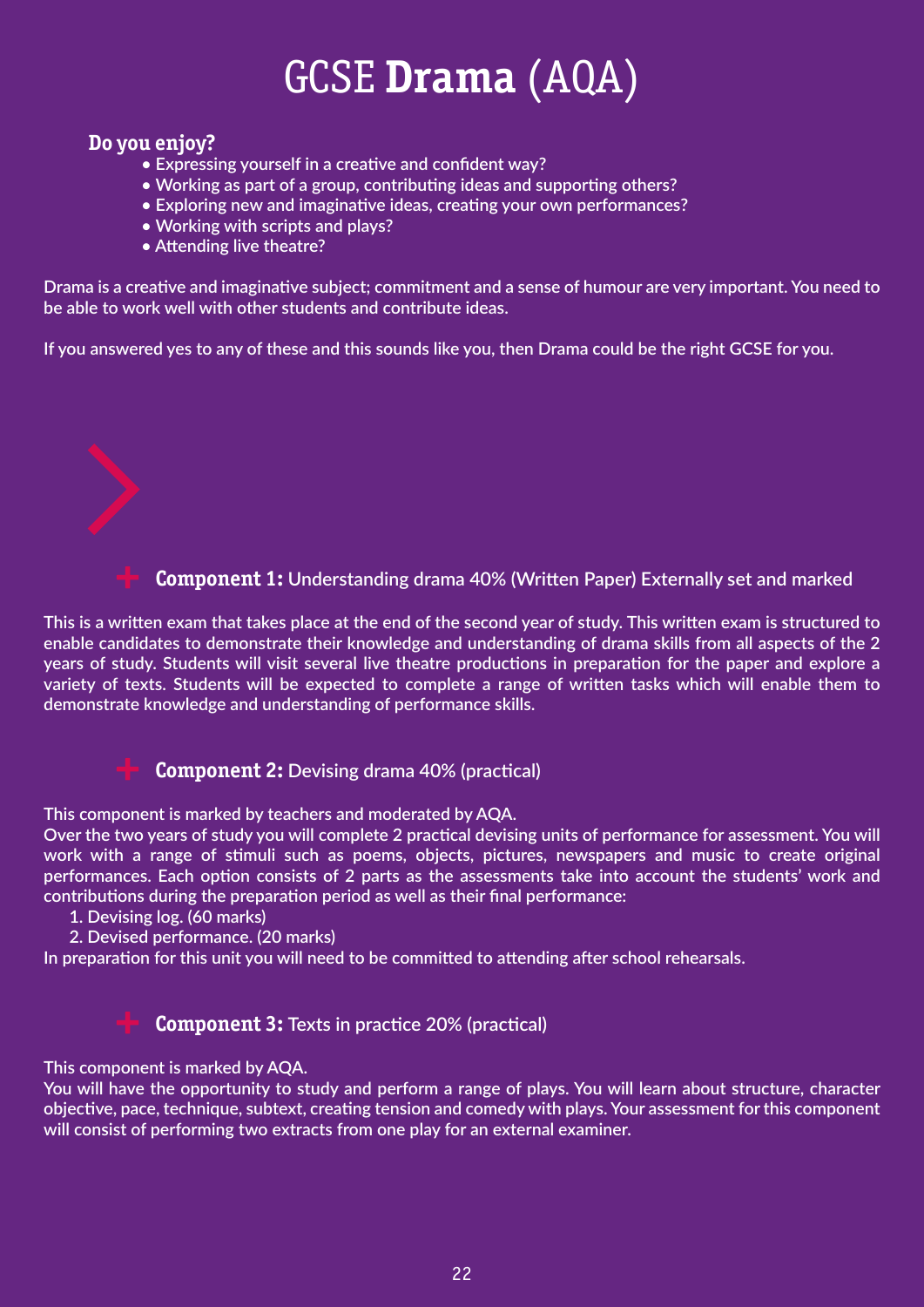# GCSE **Drama** (AQA)

## **Do you enjoy?**

- **Expressing yourself in a creative and confident way?**
- **Working as part of a group, contributing ideas and supporting others?**
- **Exploring new and imaginative ideas, creating your own performances?**
- **Working with scripts and plays?**
- **Attending live theatre?**

**Drama is a creative and imaginative subject; commitment and a sense of humour are very important. You need to be able to work well with other students and contribute ideas.**

**If you answered yes to any of these and this sounds like you, then Drama could be the right GCSE for you.**

## **Component 1: Understanding drama 40% (Written Paper) Externally set and marked**

**This is a written exam that takes place at the end of the second year of study. This written exam is structured to enable candidates to demonstrate their knowledge and understanding of drama skills from all aspects of the 2 years of study. Students will visit several live theatre productions in preparation for the paper and explore a variety of texts. Students will be expected to complete a range of written tasks which will enable them to demonstrate knowledge and understanding of performance skills.**



 **Component 2: Devising drama 40% (practical)**

**This component is marked by teachers and moderated by AQA.**

**Over the two years of study you will complete 2 practical devising units of performance for assessment. You will work with a range of stimuli such as poems, objects, pictures, newspapers and music to create original performances. Each option consists of 2 parts as the assessments take into account the students' work and contributions during the preparation period as well as their final performance:** 

- **1. Devising log. (60 marks)**
- **2. Devised performance. (20 marks)**

**In preparation for this unit you will need to be committed to attending after school rehearsals.**

## **Component 3: Texts in practice 20% (practical)**

## **This component is marked by AQA.**

**You will have the opportunity to study and perform a range of plays. You will learn about structure, character objective, pace, technique, subtext, creating tension and comedy with plays. Your assessment for this component will consist of performing two extracts from one play for an external examiner.**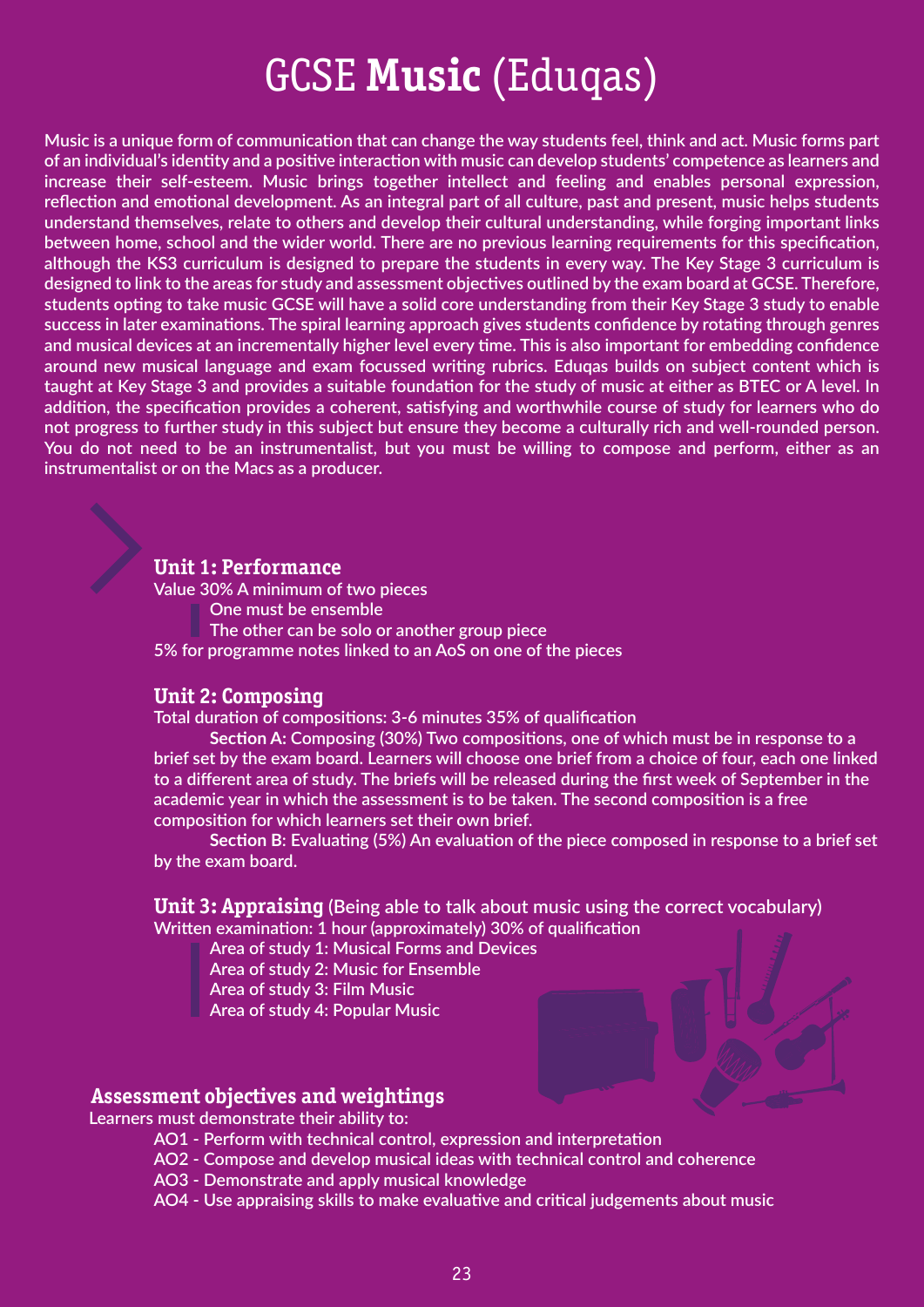# GCSE **Music** (Eduqas)

**Music is a unique form of communication that can change the way students feel, think and act. Music forms part of an individual's identity and a positive interaction with music can develop students' competence as learners and increase their self-esteem. Music brings together intellect and feeling and enables personal expression, reflection and emotional development. As an integral part of all culture, past and present, music helps students understand themselves, relate to others and develop their cultural understanding, while forging important links between home, school and the wider world. There are no previous learning requirements for this specification, although the KS3 curriculum is designed to prepare the students in every way. The Key Stage 3 curriculum is designed to link to the areas for study and assessment objectives outlined by the exam board at GCSE. Therefore, students opting to take music GCSE will have a solid core understanding from their Key Stage 3 study to enable success in later examinations. The spiral learning approach gives students confidence by rotating through genres and musical devices at an incrementally higher level every time. This is also important for embedding confidence around new musical language and exam focussed writing rubrics. Eduqas builds on subject content which is taught at Key Stage 3 and provides a suitable foundation for the study of music at either as BTEC or A level. In addition, the specification provides a coherent, satisfying and worthwhile course of study for learners who do not progress to further study in this subject but ensure they become a culturally rich and well-rounded person. You do not need to be an instrumentalist, but you must be willing to compose and perform, either as an instrumentalist or on the Macs as a producer.**

## **Unit 1: Performance**

 **Value 30% A minimum of two pieces One must be ensemble The other can be solo or another group piece 5% for programme notes linked to an AoS on one of the pieces**

## **Unit 2: Composing**

 **Total duration of compositions: 3-6 minutes 35% of qualification** 

 **Section A: Composing (30%) Two compositions, one of which must be in response to a brief set by the exam board. Learners will choose one brief from a choice of four, each one linked to a different area of study. The briefs will be released during the first week of September in the academic year in which the assessment is to be taken. The second composition is a free composition for which learners set their own brief.**

 **Section B: Evaluating (5%) An evaluation of the piece composed in response to a brief set by the exam board.**

*Unit 3: Appraising* (Being able to talk about music using the correct vocabulary)  **Written examination: 1 hour (approximately) 30% of qualification**

- **Area of study 1: Musical Forms and Devices**
- **Area of study 2: Music for Ensemble**
- **Area of study 3: Film Music**
- **Area of study 4: Popular Music**

## **Assessment objectives and weightings**

 **Learners must demonstrate their ability to:**

- **AO1 Perform with technical control, expression and interpretation**
- **AO2 Compose and develop musical ideas with technical control and coherence**
- **AO3 Demonstrate and apply musical knowledge**
- **AO4 Use appraising skills to make evaluative and critical judgements about music**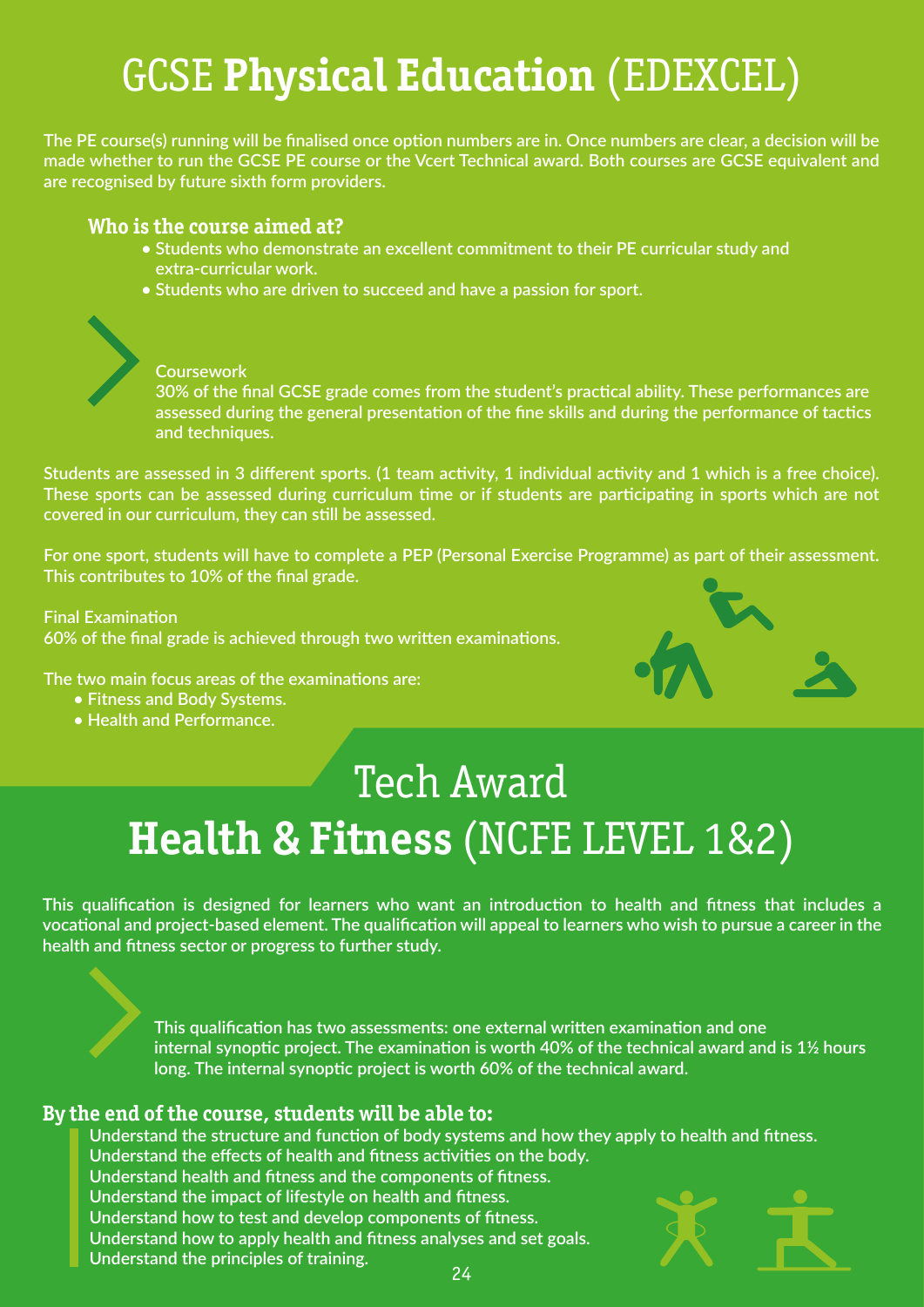# GCSE **Physical Education** (EDEXCEL)

**The PE course(s) running will be finalised once option numbers are in. Once numbers are clear, a decision will be made whether to run the GCSE PE course or the Vcert Technical award. Both courses are GCSE equivalent and are recognised by future sixth form providers.**

## **Who is the course aimed at?**

- **Students who demonstrate an excellent commitment to their PE curricular study and extra-curricular work.**
- **Students who are driven to succeed and have a passion for sport.**



## **Coursework**

 **30% of the final GCSE grade comes from the student's practical ability. These performances are assessed during the general presentation of the fine skills and during the performance of tactics and techniques.** 

**Students are assessed in 3 different sports. (1 team activity, 1 individual activity and 1 which is a free choice). These sports can be assessed during curriculum time or if students are participating in sports which are not covered in our curriculum, they can still be assessed.**

**For one sport, students will have to complete a PEP (Personal Exercise Programme) as part of their assessment. This contributes to 10% of the final grade.**

**Final Examination 60% of the final grade is achieved through two written examinations.** 

**The two main focus areas of the examinations are:**

- **Fitness and Body Systems.**
- **Health and Performance.**

# Tech Award **Health & Fitness** (NCFE LEVEL 1&2)

**This qualification is designed for learners who want an introduction to health and fitness that includes a vocational and project-based element. The qualification will appeal to learners who wish to pursue a career in the health and fitness sector or progress to further study.**

> **This qualification has two assessments: one external written examination and one internal synoptic project. The examination is worth 40% of the technical award and is 1½ hours long. The internal synoptic project is worth 60% of the technical award.**

## **By the end of the course, students will be able to:**

 **Understand the structure and function of body systems and how they apply to health and fitness. Understand the effects of health and fitness activities on the body. Understand health and fitness and the components of fitness. Understand the impact of lifestyle on health and fitness. Understand how to test and develop components of fitness.**

 **Understand how to apply health and fitness analyses and set goals.**

 **Understand the principles of training.** 24

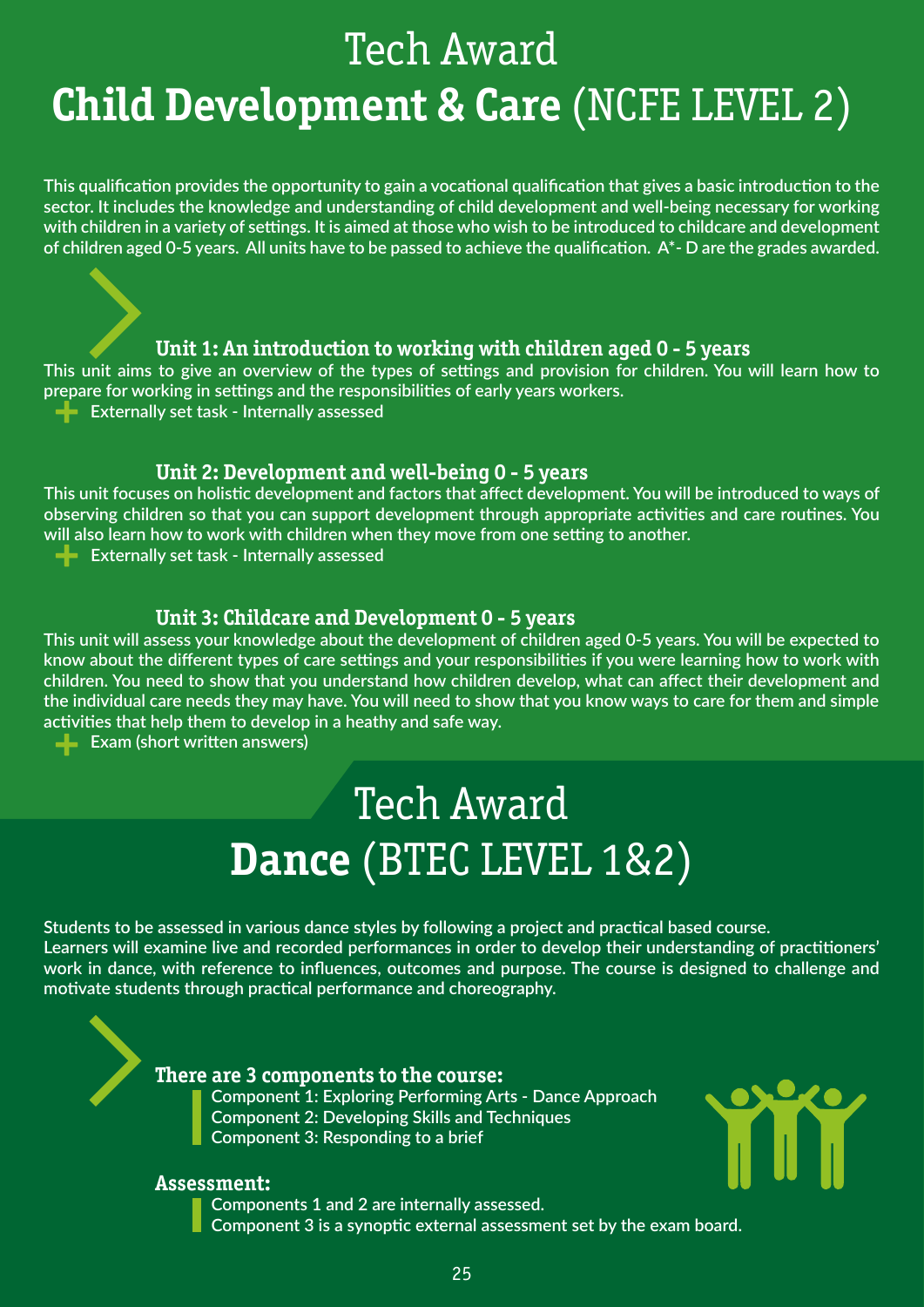# Tech Award **Child Development & Care** (NCFE LEVEL 2)

**This qualification provides the opportunity to gain a vocational qualification that gives a basic introduction to the sector. It includes the knowledge and understanding of child development and well-being necessary for working with children in a variety of settings. It is aimed at those who wish to be introduced to childcare and development of children aged 0-5 years. All units have to be passed to achieve the qualification. A\*- D are the grades awarded.**

## **Unit 1: An introduction to working with children aged 0 - 5 years**

**+ This unit aims to give an overview of the types of settings and provision for children. You will learn how to prepare for working in settings and the responsibilities of early years workers.**

**Externally set task - Internally assessed** 

## **Unit 2: Development and well-being 0 - 5 years**

**+ This unit focuses on holistic development and factors that affect development. You will be introduced to ways of observing children so that you can support development through appropriate activities and care routines. You will also learn how to work with children when they move from one setting to another.**

**Externally set task - Internally assessed** 

## **Unit 3: Childcare and Development 0 - 5 years**

**+ This unit will assess your knowledge about the development of children aged 0-5 years. You will be expected to know about the different types of care settings and your responsibilities if you were learning how to work with children. You need to show that you understand how children develop, what can affect their development and the individual care needs they may have. You will need to show that you know ways to care for them and simple activities that help them to develop in a heathy and safe way.**

**EXAM** (short written answers)

# Tech Award **Dance** (BTEC LEVEL 1&2)

**Students to be assessed in various dance styles by following a project and practical based course. Learners will examine live and recorded performances in order to develop their understanding of practitioners' work in dance, with reference to influences, outcomes and purpose. The course is designed to challenge and motivate students through practical performance and choreography.**

## **There are 3 components to the course:**

 **Component 1: Exploring Performing Arts - Dance Approach Component 2: Developing Skills and Techniques Component 3: Responding to a brief**



## **Assessment:**

 **Components 1 and 2 are internally assessed. Component 3 is a synoptic external assessment set by the exam board.**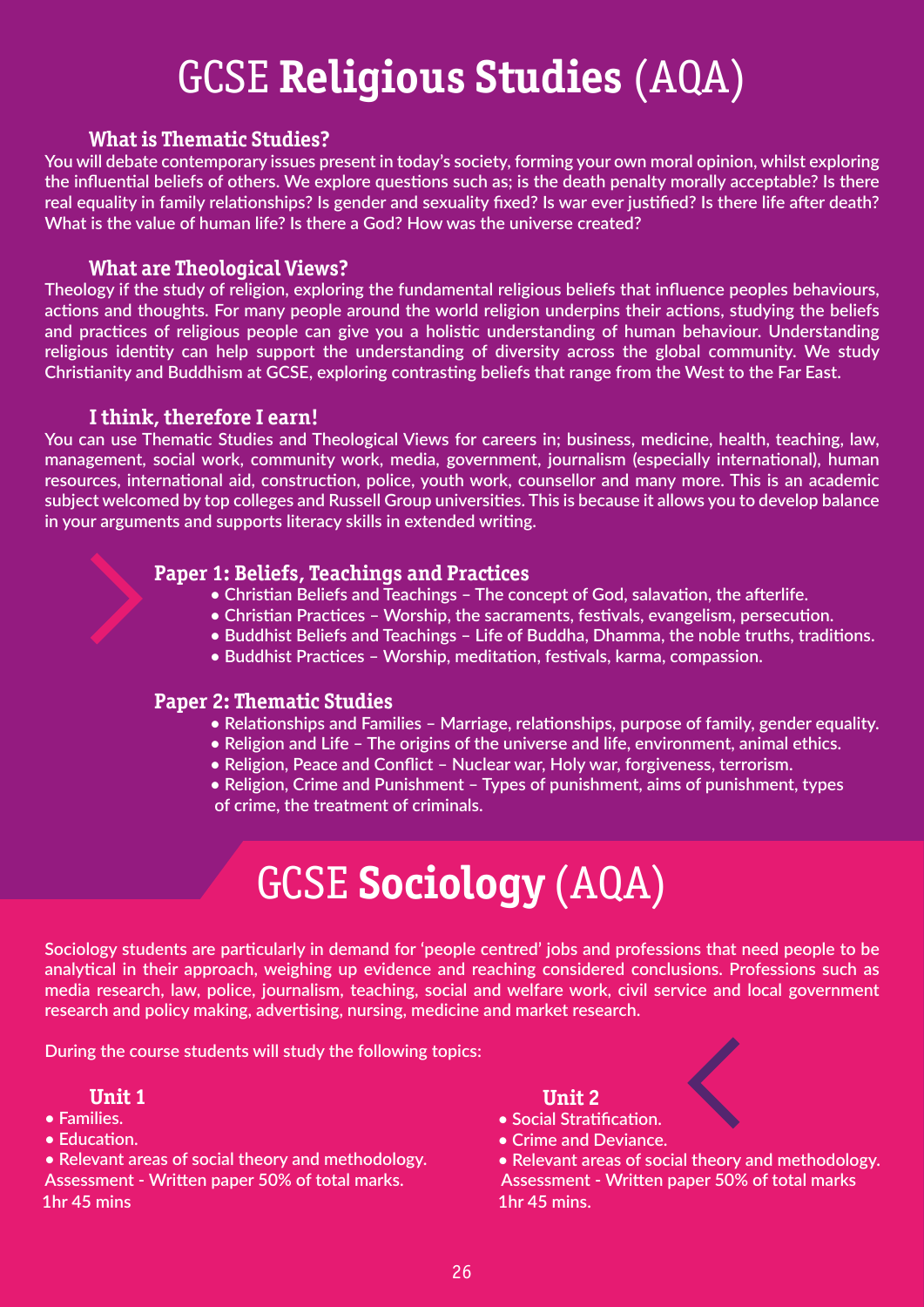# GCSE **Religious Studies** (AQA)

## **What is Thematic Studies?**

**You will debate contemporary issues present in today's society, forming your own moral opinion, whilst exploring the influential beliefs of others. We explore questions such as; is the death penalty morally acceptable? Is there real equality in family relationships? Is gender and sexuality fixed? Is war ever justified? Is there life after death? What is the value of human life? Is there a God? How was the universe created?**

## **What are Theological Views?**

**Theology if the study of religion, exploring the fundamental religious beliefs that influence peoples behaviours, actions and thoughts. For many people around the world religion underpins their actions, studying the beliefs and practices of religious people can give you a holistic understanding of human behaviour. Understanding religious identity can help support the understanding of diversity across the global community. We study Christianity and Buddhism at GCSE, exploring contrasting beliefs that range from the West to the Far East.**

## **I think, therefore I earn!**

**You can use Thematic Studies and Theological Views for careers in; business, medicine, health, teaching, law, management, social work, community work, media, government, journalism (especially international), human resources, international aid, construction, police, youth work, counsellor and many more. This is an academic subject welcomed by top colleges and Russell Group universities. This is because it allows you to develop balance in your arguments and supports literacy skills in extended writing.**

## **Paper 1: Beliefs, Teachings and Practices**

- **Christian Beliefs and Teachings The concept of God, salavation, the afterlife.**
- **Christian Practices Worship, the sacraments, festivals, evangelism, persecution.**
- **Buddhist Beliefs and Teachings Life of Buddha, Dhamma, the noble truths, traditions.**
- **Buddhist Practices Worship, meditation, festivals, karma, compassion.**

## **Paper 2: Thematic Studies**

- **Relationships and Families Marriage, relationships, purpose of family, gender equality.**
- **Religion and Life The origins of the universe and life, environment, animal ethics.**
- **Religion, Peace and Conflict Nuclear war, Holy war, forgiveness, terrorism.**
- **Religion, Crime and Punishment Types of punishment, aims of punishment, types of crime, the treatment of criminals.**

## GCSE **Sociology** (AQA)

**Sociology students are particularly in demand for 'people centred' jobs and professions that need people to be analytical in their approach, weighing up evidence and reaching considered conclusions. Professions such as media research, law, police, journalism, teaching, social and welfare work, civil service and local government research and policy making, advertising, nursing, medicine and market research.**

**During the course students will study the following topics:**

## **Unit 1**

- **Families.**
- **Education.**

**• Relevant areas of social theory and methodology. Assessment - Written paper 50% of total marks. Assessment - Written paper 50% of total marks 1hr 45 mins 1hr 45 mins.**

## **Unit 2**

- **Social Stratification.**
- **Crime and Deviance.**

**• Relevant areas of social theory and methodology.**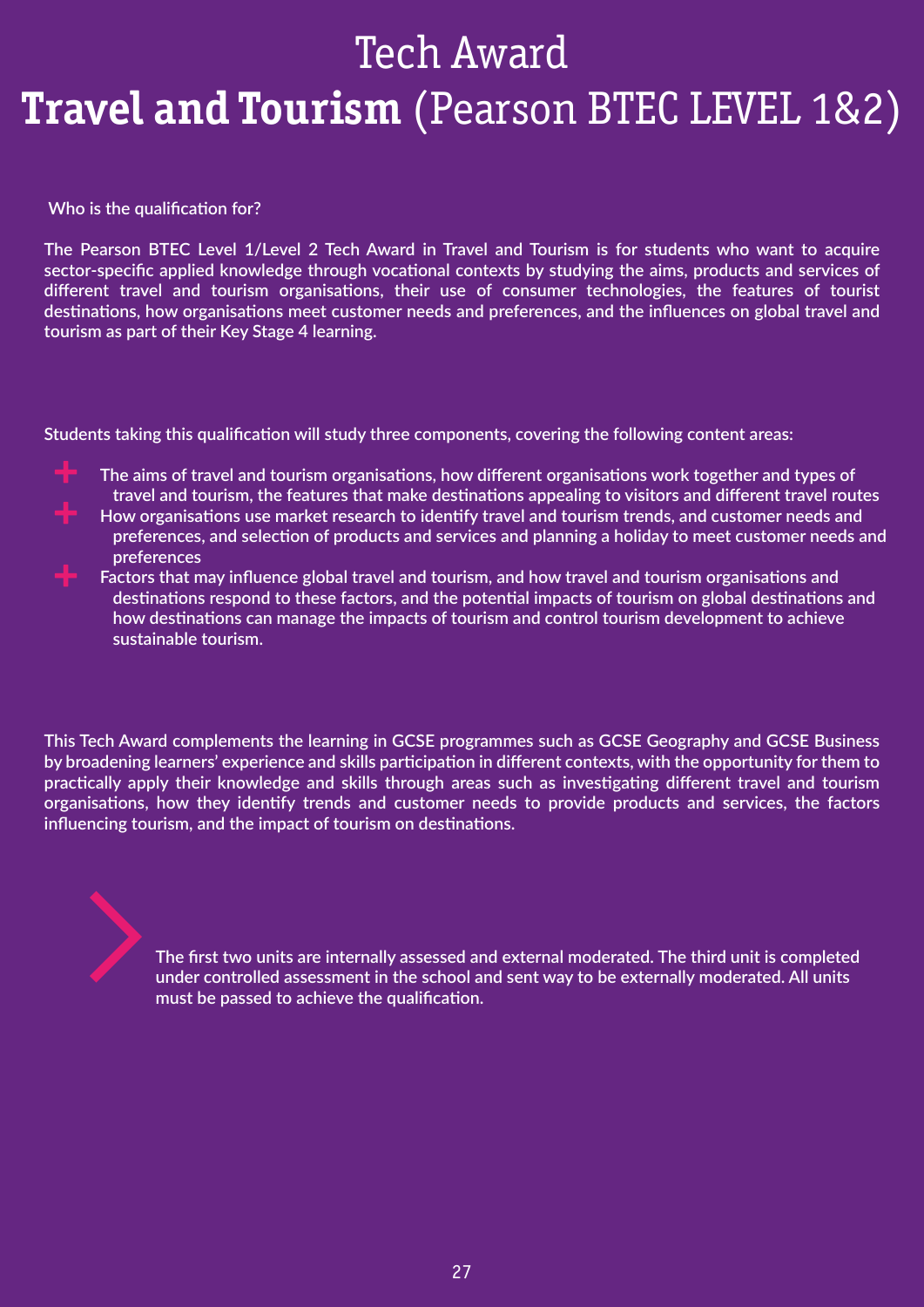# Tech Award **Travel and Tourism** (Pearson BTEC LEVEL 1&2)

 **Who is the qualification for?**

**The Pearson BTEC Level 1/Level 2 Tech Award in Travel and Tourism is for students who want to acquire sector-specific applied knowledge through vocational contexts by studying the aims, products and services of different travel and tourism organisations, their use of consumer technologies, the features of tourist destinations, how organisations meet customer needs and preferences, and the influences on global travel and tourism as part of their Key Stage 4 learning.**

**Students taking this qualification will study three components, covering the following content areas:**

- **The aims of travel and tourism organisations, how different organisations work together and types of travel and tourism, the features that make destinations appealing to visitors and different travel routes**
- **How organisations use market research to identify travel and tourism trends, and customer needs and preferences, and selection of products and services and planning a holiday to meet customer needs and preferences**
- **Factors that may influence global travel and tourism, and how travel and tourism organisations and destinations respond to these factors, and the potential impacts of tourism on global destinations and how destinations can manage the impacts of tourism and control tourism development to achieve sustainable tourism.**

**This Tech Award complements the learning in GCSE programmes such as GCSE Geography and GCSE Business by broadening learners' experience and skills participation in different contexts, with the opportunity for them to practically apply their knowledge and skills through areas such as investigating different travel and tourism organisations, how they identify trends and customer needs to provide products and services, the factors influencing tourism, and the impact of tourism on destinations.**

> **The first two units are internally assessed and external moderated. The third unit is completed under controlled assessment in the school and sent way to be externally moderated. All units must be passed to achieve the qualification.**